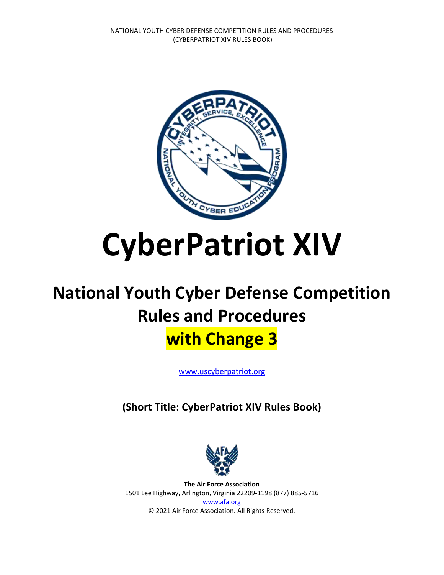

# **CyberPatriot XIV**

## **National Youth Cyber Defense Competition Rules and Procedures with Change 3**

[www.uscyberpatriot.org](file://///AFA-FILES/DEPT/CYBERPATRIOT/Alison/www.uscyberpatriot.org)

**(Short Title: CyberPatriot XIV Rules Book)**



**The Air Force Association** 1501 Lee Highway, Arlington, Virginia 22209-1198 (877) 885-5716 [www.afa.org](http://www.afa.org/) © 2021 Air Force Association. All Rights Reserved.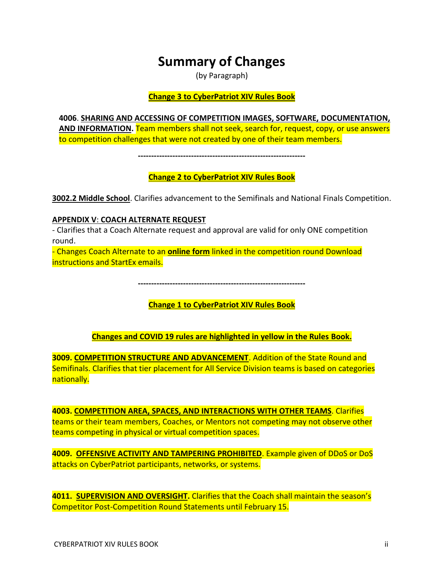## **Summary of Changes**

(by Paragraph)

#### **Change 3 to CyberPatriot XIV Rules Book**

**4006**. **SHARING AND ACCESSING OF COMPETITION IMAGES, SOFTWARE, DOCUMENTATION, AND INFORMATION.** Team members shall not seek, search for, request, copy, or use answers to competition challenges that were not created by one of their team members.

**---------------------------------------------------------------**

**Change 2 to CyberPatriot XIV Rules Book**

**3002.2 Middle School**. Clarifies advancement to the Semifinals and National Finals Competition.

## **APPENDIX V**: **COACH ALTERNATE REQUEST**

- Clarifies that a Coach Alternate request and approval are valid for only ONE competition round.

- Changes Coach Alternate to an **online form** linked in the competition round Download instructions and StartEx emails.

**---------------------------------------------------------------**

**Change 1 to CyberPatriot XIV Rules Book**

## **Changes and COVID 19 rules are highlighted in yellow in the Rules Book.**

**3009. COMPETITION STRUCTURE AND ADVANCEMENT**. Addition of the State Round and Semifinals. Clarifies that tier placement for All Service Division teams is based on categories nationally.

**4003. COMPETITION AREA, SPACES, AND INTERACTIONS WITH OTHER TEAMS**. Clarifies teams or their team members, Coaches, or Mentors not competing may not observe other teams competing in physical or virtual competition spaces.

**4009. OFFENSIVE ACTIVITY AND TAMPERING PROHIBITED**. Example given of DDoS or DoS attacks on CyberPatriot participants, networks, or systems.

**4011. SUPERVISION AND OVERSIGHT.** Clarifies that the Coach shall maintain the season's Competitor Post-Competition Round Statements until February 15.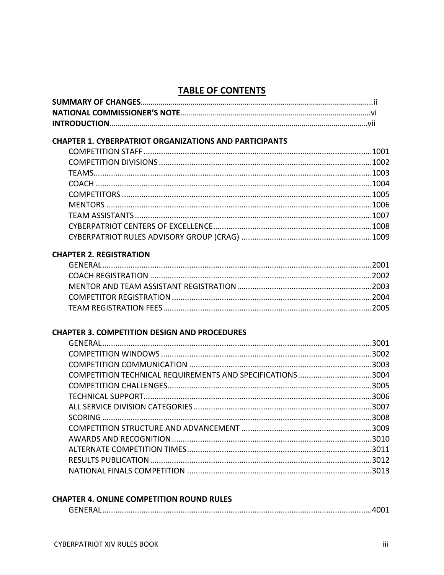## **TABLE OF CONTENTS**

| <b>CHAPTER 1. CYBERPATRIOT ORGANIZATIONS AND PARTICIPANTS</b> |  |
|---------------------------------------------------------------|--|
|                                                               |  |
|                                                               |  |
|                                                               |  |
|                                                               |  |
|                                                               |  |
|                                                               |  |
|                                                               |  |
|                                                               |  |
|                                                               |  |
| <b>CHAPTER 2. REGISTRATION</b>                                |  |
|                                                               |  |
|                                                               |  |
|                                                               |  |
|                                                               |  |
|                                                               |  |
|                                                               |  |
| <b>CHAPTER 3. COMPETITION DESIGN AND PROCEDURES</b>           |  |
|                                                               |  |
|                                                               |  |
|                                                               |  |
| COMPETITION TECHNICAL REQUIREMENTS AND SPECIFICATIONS3004     |  |
|                                                               |  |
|                                                               |  |
|                                                               |  |
|                                                               |  |
|                                                               |  |
|                                                               |  |
|                                                               |  |
|                                                               |  |
|                                                               |  |

## **CHAPTER 4. ONLINE COMPETITION ROUND RULES**

|--|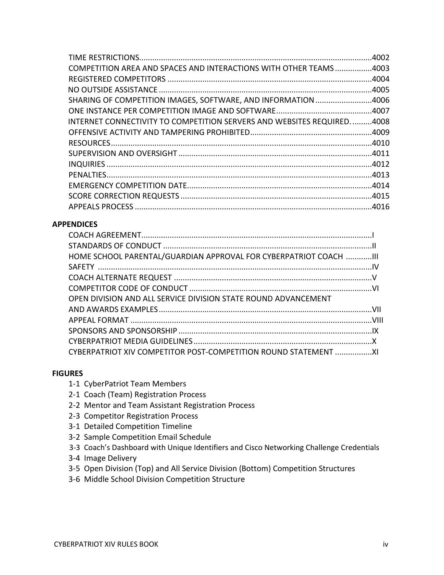|                                                                        | .4002 |
|------------------------------------------------------------------------|-------|
| COMPETITION AREA AND SPACES AND INTERACTIONS WITH OTHER TEAMS4003      |       |
|                                                                        |       |
|                                                                        |       |
| SHARING OF COMPETITION IMAGES, SOFTWARE, AND INFORMATION 4006          |       |
|                                                                        |       |
| INTERNET CONNECTIVITY TO COMPETITION SERVERS AND WEBSITES REQUIRED4008 |       |
|                                                                        |       |
|                                                                        |       |
|                                                                        |       |
|                                                                        |       |
|                                                                        |       |
|                                                                        |       |
|                                                                        |       |
|                                                                        |       |

## **APPENDICES**

| HOME SCHOOL PARENTAL/GUARDIAN APPROVAL FOR CYBERPATRIOT COACH  III |  |
|--------------------------------------------------------------------|--|
|                                                                    |  |
|                                                                    |  |
|                                                                    |  |
| OPEN DIVISION AND ALL SERVICE DIVISION STATE ROUND ADVANCEMENT     |  |
|                                                                    |  |
|                                                                    |  |
|                                                                    |  |
|                                                                    |  |
| CYBERPATRIOT XIV COMPETITOR POST-COMPETITION ROUND STATEMENT       |  |

## **FIGURES**

- 1-1 CyberPatriot Team Members
- 2-1 Coach (Team) Registration Process
- 2-2 Mentor and Team Assistant Registration Process
- 2-3 Competitor Registration Process
- 3-1 Detailed Competition Timeline
- 3-2 Sample Competition Email Schedule
- 3-3 Coach's Dashboard with Unique Identifiers and Cisco Networking Challenge Credentials
- 3-4 Image Delivery
- 3-5 Open Division (Top) and All Service Division (Bottom) Competition Structures
- 3-6 Middle School Division Competition Structure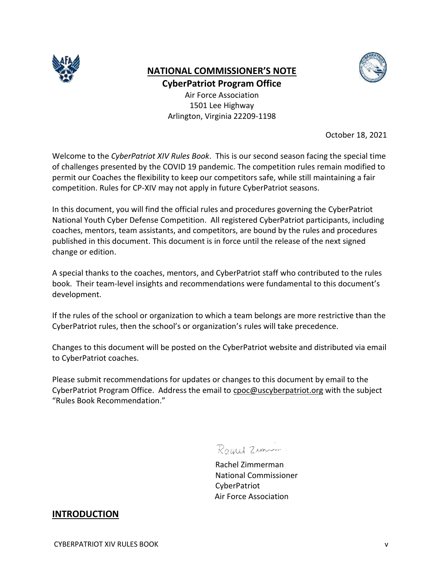

## **NATIONAL COMMISSIONER'S NOTE CyberPatriot Program Office**

Air Force Association 1501 Lee Highway Arlington, Virginia 22209-1198

October 18, 2021

Welcome to the *CyberPatriot XIV Rules Book*. This is our second season facing the special time of challenges presented by the COVID 19 pandemic. The competition rules remain modified to permit our Coaches the flexibility to keep our competitors safe, while still maintaining a fair competition. Rules for CP-XIV may not apply in future CyberPatriot seasons.

In this document, you will find the official rules and procedures governing the CyberPatriot National Youth Cyber Defense Competition. All registered CyberPatriot participants, including coaches, mentors, team assistants, and competitors, are bound by the rules and procedures published in this document. This document is in force until the release of the next signed change or edition.

A special thanks to the coaches, mentors, and CyberPatriot staff who contributed to the rules book. Their team-level insights and recommendations were fundamental to this document's development.

If the rules of the school or organization to which a team belongs are more restrictive than the CyberPatriot rules, then the school's or organization's rules will take precedence.

Changes to this document will be posted on the CyberPatriot website and distributed via email to CyberPatriot coaches.

Please submit recommendations for updates or changes to this document by email to the CyberPatriot Program Office. Address the email to [cpoc@uscyberpatriot.org](mailto:cpoc@uscyberpatriot.org) with the subject "Rules Book Recommendation."

Rogael Zimm

Rachel Zimmerman National Commissioner CyberPatriot Air Force Association

## **INTRODUCTION**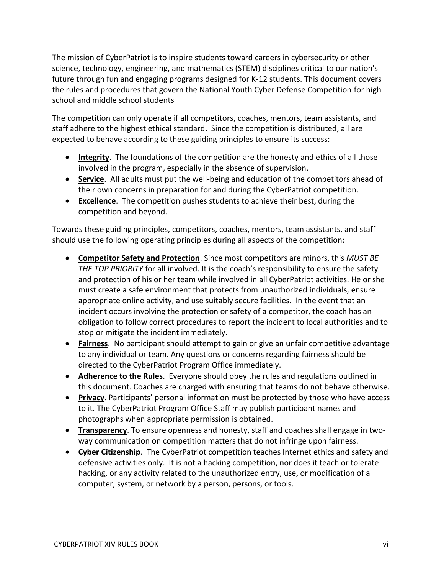The mission of CyberPatriot is to inspire students toward careers in cybersecurity or other science, technology, engineering, and mathematics (STEM) disciplines critical to our nation's future through fun and engaging programs designed for K-12 students. This document covers the rules and procedures that govern the National Youth Cyber Defense Competition for high school and middle school students

The competition can only operate if all competitors, coaches, mentors, team assistants, and staff adhere to the highest ethical standard. Since the competition is distributed, all are expected to behave according to these guiding principles to ensure its success:

- **Integrity**. The foundations of the competition are the honesty and ethics of all those involved in the program, especially in the absence of supervision.
- **Service**. All adults must put the well-being and education of the competitors ahead of their own concerns in preparation for and during the CyberPatriot competition.
- **Excellence**. The competition pushes students to achieve their best, during the competition and beyond.

Towards these guiding principles, competitors, coaches, mentors, team assistants, and staff should use the following operating principles during all aspects of the competition:

- **Competitor Safety and Protection**. Since most competitors are minors, this *MUST BE THE TOP PRIORITY* for all involved. It is the coach's responsibility to ensure the safety and protection of his or her team while involved in all CyberPatriot activities. He or she must create a safe environment that protects from unauthorized individuals, ensure appropriate online activity, and use suitably secure facilities. In the event that an incident occurs involving the protection or safety of a competitor, the coach has an obligation to follow correct procedures to report the incident to local authorities and to stop or mitigate the incident immediately.
- **Fairness**. No participant should attempt to gain or give an unfair competitive advantage to any individual or team. Any questions or concerns regarding fairness should be directed to the CyberPatriot Program Office immediately.
- **Adherence to the Rules**. Everyone should obey the rules and regulations outlined in this document. Coaches are charged with ensuring that teams do not behave otherwise.
- **Privacy**. Participants' personal information must be protected by those who have access to it. The CyberPatriot Program Office Staff may publish participant names and photographs when appropriate permission is obtained.
- **Transparency**. To ensure openness and honesty, staff and coaches shall engage in twoway communication on competition matters that do not infringe upon fairness.
- **Cyber Citizenship**. The CyberPatriot competition teaches Internet ethics and safety and defensive activities only. It is not a hacking competition, nor does it teach or tolerate hacking, or any activity related to the unauthorized entry, use, or modification of a computer, system, or network by a person, persons, or tools.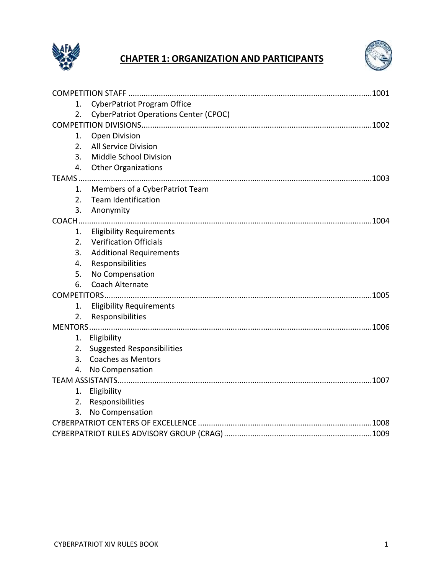

## **CHAPTER 1: ORGANIZATION AND PARTICIPANTS**



| <b>CyberPatriot Program Office</b><br>1.           |  |
|----------------------------------------------------|--|
| <b>CyberPatriot Operations Center (CPOC)</b><br>2. |  |
|                                                    |  |
| <b>Open Division</b><br>1.                         |  |
| All Service Division<br>2.                         |  |
| Middle School Division<br>3.                       |  |
| 4.<br><b>Other Organizations</b>                   |  |
|                                                    |  |
| Members of a CyberPatriot Team<br>1.               |  |
| 2.<br><b>Team Identification</b>                   |  |
| 3.<br>Anonymity                                    |  |
|                                                    |  |
| <b>Eligibility Requirements</b><br>1.              |  |
| <b>Verification Officials</b><br>2.                |  |
| 3.<br><b>Additional Requirements</b>               |  |
| Responsibilities<br>4.                             |  |
| No Compensation<br>5.                              |  |
| Coach Alternate<br>6.                              |  |
|                                                    |  |
| <b>Eligibility Requirements</b><br>1.              |  |
| 2.<br>Responsibilities                             |  |
|                                                    |  |
| Eligibility<br>1.                                  |  |
| <b>Suggested Responsibilities</b><br>2.            |  |
| <b>Coaches as Mentors</b><br>3.                    |  |
| No Compensation<br>4.                              |  |
|                                                    |  |
| Eligibility<br>1.                                  |  |
| 2.<br>Responsibilities                             |  |
| No Compensation<br>3.                              |  |
|                                                    |  |
|                                                    |  |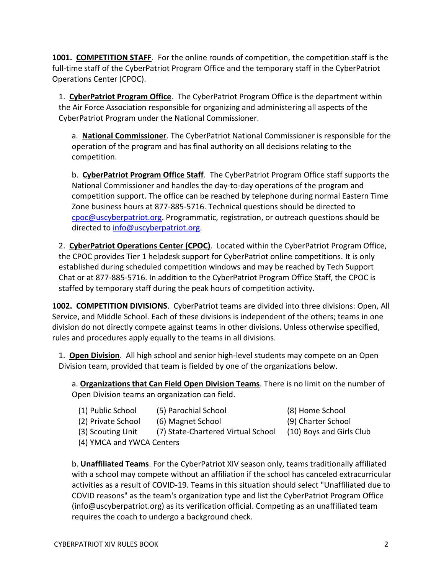**1001. COMPETITION STAFF**. For the online rounds of competition, the competition staff is the full-time staff of the CyberPatriot Program Office and the temporary staff in the CyberPatriot Operations Center (CPOC).

1. **CyberPatriot Program Office**. The CyberPatriot Program Office is the department within the Air Force Association responsible for organizing and administering all aspects of the CyberPatriot Program under the National Commissioner.

a. **National Commissioner**. The CyberPatriot National Commissioner is responsible for the operation of the program and has final authority on all decisions relating to the competition.

b. **CyberPatriot Program Office Staff**. The CyberPatriot Program Office staff supports the National Commissioner and handles the day-to-day operations of the program and competition support. The office can be reached by telephone during normal Eastern Time Zone business hours at 877-885-5716. Technical questions should be directed to [cpoc@uscyberpatriot.org.](mailto:cpoc@uscyberpatriot.org) Programmatic, registration, or outreach questions should be directed to [info@uscyberpatriot.org.](mailto:info@uscyberpatriot.org)

2. **CyberPatriot Operations Center (CPOC)**. Located within the CyberPatriot Program Office, the CPOC provides Tier 1 helpdesk support for CyberPatriot online competitions. It is only established during scheduled competition windows and may be reached by Tech Support Chat or at 877-885-5716. In addition to the CyberPatriot Program Office Staff, the CPOC is staffed by temporary staff during the peak hours of competition activity.

**1002. COMPETITION DIVISIONS**.CyberPatriot teams are divided into three divisions: Open, All Service, and Middle School. Each of these divisions is independent of the others; teams in one division do not directly compete against teams in other divisions. Unless otherwise specified, rules and procedures apply equally to the teams in all divisions.

1. **Open Division**. All high school and senior high-level students may compete on an Open Division team, provided that team is fielded by one of the organizations below.

a. **Organizations that Can Field Open Division Teams**. There is no limit on the number of Open Division teams an organization can field.

| (1) Public School            | (5) Parochial School               | (8) Home School          |
|------------------------------|------------------------------------|--------------------------|
| (2) Private School           | (6) Magnet School                  | (9) Charter School       |
| (3) Scouting Unit            | (7) State-Chartered Virtual School | (10) Boys and Girls Club |
| (A) VNACA and VIAICA Contors |                                    |                          |

(4) YMCA and YWCA Centers

b. **Unaffiliated Teams**. For the CyberPatriot XIV season only, teams traditionally affiliated with a school may compete without an affiliation if the school has canceled extracurricular activities as a result of COVID-19. Teams in this situation should select "Unaffiliated due to COVID reasons" as the team's organization type and list the CyberPatriot Program Office (info@uscyberpatriot.org) as its verification official. Competing as an unaffiliated team requires the coach to undergo a background check.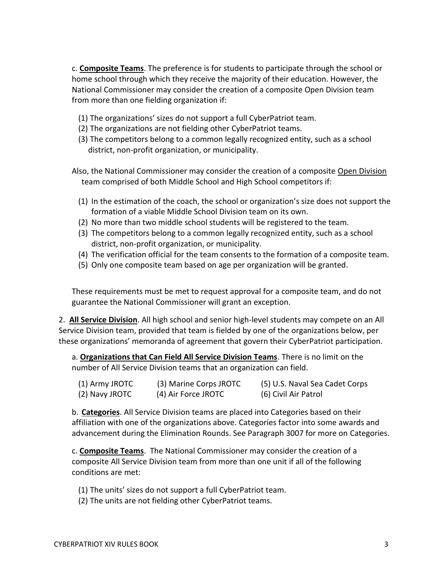c. **Composite Teams**. The preference is for students to participate through the school or home school through which they receive the majority of their education. However, the National Commissioner may consider the creation of a composite Open Division team from more than one fielding organization if:

- (1) The organizations' sizes do not support a full CyberPatriot team.
- (2) The organizations are not fielding other CyberPatriot teams.
- (3) The competitors belong to a common legally recognized entity, such as a school district, non-profit organization, or municipality.
- Also, the National Commissioner may consider the creation of a composite Open Division team comprised of both Middle School and High School competitors if:
	- (1) In the estimation of the coach, the school or organization's size does not support the formation of a viable Middle School Division team on its own.
	- (2) No more than two middle school students will be registered to the team.
	- (3) The competitors belong to a common legally recognized entity, such as a school district, non-profit organization, or municipality.
	- (4) The verification official for the team consents to the formation of a composite team.
	- (5) Only one composite team based on age per organization will be granted.

These requirements must be met to request approval for a composite team, and do not guarantee the National Commissioner will grant an exception.

2. **All Service Division**. All high school and senior high-level students may compete on an All Service Division team, provided that team is fielded by one of the organizations below, per these organizations' memoranda of agreement that govern their CyberPatriot participation.

a. **Organizations that Can Field All Service Division Teams**. There is no limit on the number of All Service Division teams that an organization can field.

| (1) Army JROTC | (3) Marine Corps JROTC | (5) U.S. Naval Sea Cadet Corps |
|----------------|------------------------|--------------------------------|
| (2) Navy JROTC | (4) Air Force JROTC    | (6) Civil Air Patrol           |

b. **Categories**. All Service Division teams are placed into Categories based on their affiliation with one of the organizations above. Categories factor into some awards and advancement during the Elimination Rounds. See Paragraph 3007 for more on Categories.

c. **Composite Teams**. The National Commissioner may consider the creation of a composite All Service Division team from more than one unit if all of the following conditions are met:

- (1) The units' sizes do not support a full CyberPatriot team.
- (2) The units are not fielding other CyberPatriot teams.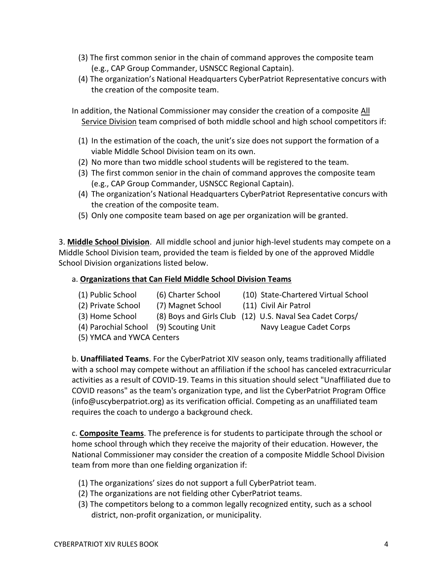- (3) The first common senior in the chain of command approves the composite team (e.g., CAP Group Commander, USNSCC Regional Captain).
- (4) The organization's National Headquarters CyberPatriot Representative concurs with the creation of the composite team.

In addition, the National Commissioner may consider the creation of a composite All Service Division team comprised of both middle school and high school competitors if:

- (1) In the estimation of the coach, the unit's size does not support the formation of a viable Middle School Division team on its own.
- (2) No more than two middle school students will be registered to the team.
- (3) The first common senior in the chain of command approves the composite team (e.g., CAP Group Commander, USNSCC Regional Captain).
- (4) The organization's National Headquarters CyberPatriot Representative concurs with the creation of the composite team.
- (5) Only one composite team based on age per organization will be granted.

3. **Middle School Division**. All middle school and junior high-level students may compete on a Middle School Division team, provided the team is fielded by one of the approved Middle School Division organizations listed below.

## a. **Organizations that Can Field Middle School Division Teams**

- (1) Public School (6) Charter School (10) State-Chartered Virtual School
	-
- (2) Private School (7) Magnet School (11) Civil Air Patrol
- (3) Home School (8) Boys and Girls Club (12) U.S. Naval Sea Cadet Corps/
- (4) Parochial School (9) Scouting Unit Navy League Cadet Corps

(5) YMCA and YWCA Centers

b. **Unaffiliated Teams**. For the CyberPatriot XIV season only, teams traditionally affiliated with a school may compete without an affiliation if the school has canceled extracurricular activities as a result of COVID-19. Teams in this situation should select "Unaffiliated due to COVID reasons" as the team's organization type, and list the CyberPatriot Program Office (info@uscyberpatriot.org) as its verification official. Competing as an unaffiliated team requires the coach to undergo a background check.

c. **Composite Teams**. The preference is for students to participate through the school or home school through which they receive the majority of their education. However, the National Commissioner may consider the creation of a composite Middle School Division team from more than one fielding organization if:

- (1) The organizations' sizes do not support a full CyberPatriot team.
- (2) The organizations are not fielding other CyberPatriot teams.
- (3) The competitors belong to a common legally recognized entity, such as a school district, non-profit organization, or municipality.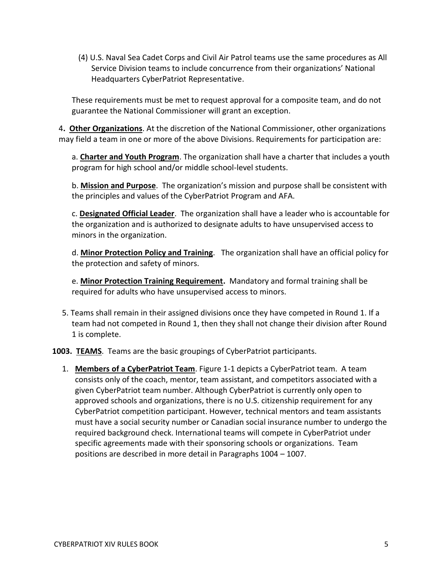(4) U.S. Naval Sea Cadet Corps and Civil Air Patrol teams use the same procedures as All Service Division teams to include concurrence from their organizations' National Headquarters CyberPatriot Representative.

These requirements must be met to request approval for a composite team, and do not guarantee the National Commissioner will grant an exception.

4**. Other Organizations**. At the discretion of the National Commissioner, other organizations may field a team in one or more of the above Divisions. Requirements for participation are:

a. **Charter and Youth Program**. The organization shall have a charter that includes a youth program for high school and/or middle school-level students.

b. **Mission and Purpose**. The organization's mission and purpose shall be consistent with the principles and values of the CyberPatriot Program and AFA.

c. **Designated Official Leader**. The organization shall have a leader who is accountable for the organization and is authorized to designate adults to have unsupervised access to minors in the organization.

d. **Minor Protection Policy and Training**. The organization shall have an official policy for the protection and safety of minors.

e. **Minor Protection Training Requirement.** Mandatory and formal training shall be required for adults who have unsupervised access to minors.

5. Teams shall remain in their assigned divisions once they have competed in Round 1. If a team had not competed in Round 1, then they shall not change their division after Round 1 is complete.

**1003. TEAMS**. Teams are the basic groupings of CyberPatriot participants.

1. **Members of a CyberPatriot Team**. Figure 1-1 depicts a CyberPatriot team. A team consists only of the coach, mentor, team assistant, and competitors associated with a given CyberPatriot team number. Although CyberPatriot is currently only open to approved schools and organizations, there is no U.S. citizenship requirement for any CyberPatriot competition participant. However, technical mentors and team assistants must have a social security number or Canadian social insurance number to undergo the required background check. International teams will compete in CyberPatriot under specific agreements made with their sponsoring schools or organizations. Team positions are described in more detail in Paragraphs 1004 – 1007.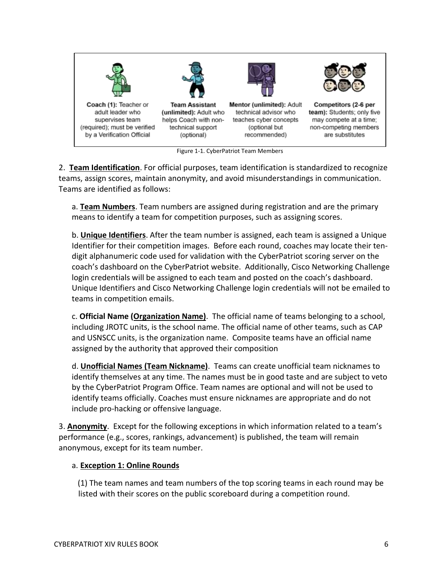

Figure 1-1. CyberPatriot Team Members

2. **Team Identification**. For official purposes, team identification is standardized to recognize teams, assign scores, maintain anonymity, and avoid misunderstandings in communication. Teams are identified as follows:

a. **Team Numbers**. Team numbers are assigned during registration and are the primary means to identify a team for competition purposes, such as assigning scores.

b. **Unique Identifiers**. After the team number is assigned, each team is assigned a Unique Identifier for their competition images. Before each round, coaches may locate their tendigit alphanumeric code used for validation with the CyberPatriot scoring server on the coach's dashboard on the CyberPatriot website. Additionally, Cisco Networking Challenge login credentials will be assigned to each team and posted on the coach's dashboard. Unique Identifiers and Cisco Networking Challenge login credentials will not be emailed to teams in competition emails.

c. **Official Name (Organization Name)**. The official name of teams belonging to a school, including JROTC units, is the school name. The official name of other teams, such as CAP and USNSCC units, is the organization name. Composite teams have an official name assigned by the authority that approved their composition

d. **Unofficial Names (Team Nickname)**. Teams can create unofficial team nicknames to identify themselves at any time. The names must be in good taste and are subject to veto by the CyberPatriot Program Office. Team names are optional and will not be used to identify teams officially. Coaches must ensure nicknames are appropriate and do not include pro-hacking or offensive language.

3. **Anonymity**. Except for the following exceptions in which information related to a team's performance (e.g., scores, rankings, advancement) is published, the team will remain anonymous, except for its team number.

## a. **Exception 1: Online Rounds**

 (1) The team names and team numbers of the top scoring teams in each round may be listed with their scores on the public scoreboard during a competition round.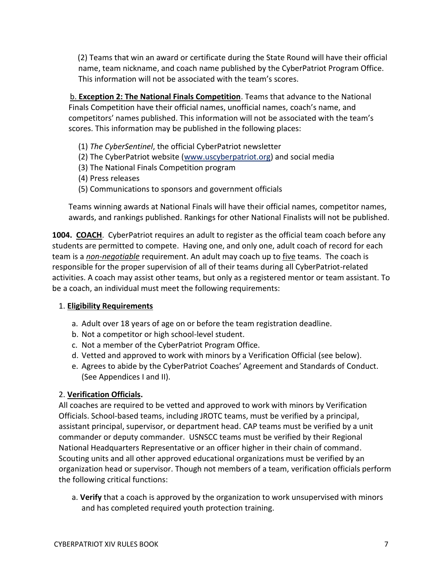(2) Teams that win an award or certificate during the State Round will have their official name, team nickname, and coach name published by the CyberPatriot Program Office. This information will not be associated with the team's scores.

 b. **Exception 2: The National Finals Competition**. Teams that advance to the National Finals Competition have their official names, unofficial names, coach's name, and competitors' names published. This information will not be associated with the team's scores. This information may be published in the following places:

- (1) *The CyberSentinel*, the official CyberPatriot newsletter
- (2) The CyberPatriot website [\(www.uscyberpatriot.org\)](http://www.uscyberpatriot.org/) and social media
- (3) The National Finals Competition program
- (4) Press releases
- (5) Communications to sponsors and government officials

Teams winning awards at National Finals will have their official names, competitor names, awards, and rankings published. Rankings for other National Finalists will not be published.

**1004. COACH.** CyberPatriot requires an adult to register as the official team coach before any students are permitted to compete. Having one, and only one, adult coach of record for each team is a *non-negotiable* requirement. An adult may coach up to five teams. The coach is responsible for the proper supervision of all of their teams during all CyberPatriot-related activities. A coach may assist other teams, but only as a registered mentor or team assistant. To be a coach, an individual must meet the following requirements:

### 1. **Eligibility Requirements**

- a. Adult over 18 years of age on or before the team registration deadline.
- b. Not a competitor or high school-level student.
- c. Not a member of the CyberPatriot Program Office.
- d. Vetted and approved to work with minors by a Verification Official (see below).
- e. Agrees to abide by the CyberPatriot Coaches' Agreement and Standards of Conduct. (See Appendices I and II).

## 2. **Verification Officials.**

All coaches are required to be vetted and approved to work with minors by Verification Officials. School-based teams, including JROTC teams, must be verified by a principal, assistant principal, supervisor, or department head. CAP teams must be verified by a unit commander or deputy commander. USNSCC teams must be verified by their Regional National Headquarters Representative or an officer higher in their chain of command. Scouting units and all other approved educational organizations must be verified by an organization head or supervisor. Though not members of a team, verification officials perform the following critical functions:

a. **Verify** that a coach is approved by the organization to work unsupervised with minors and has completed required youth protection training.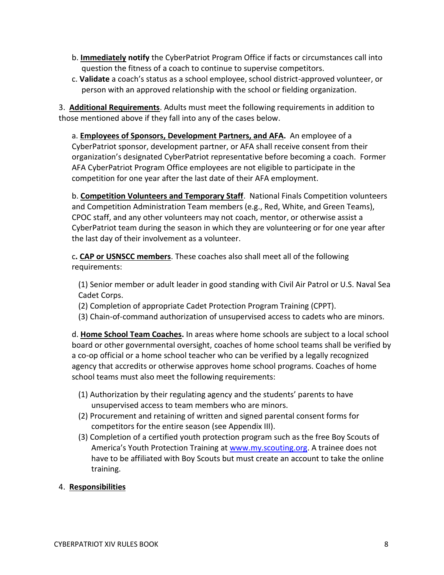- b. **Immediately notify** the CyberPatriot Program Office if facts or circumstances call into question the fitness of a coach to continue to supervise competitors.
- c. **Validate** a coach's status as a school employee, school district-approved volunteer, or person with an approved relationship with the school or fielding organization.

3. **Additional Requirements**. Adults must meet the following requirements in addition to those mentioned above if they fall into any of the cases below.

a. **Employees of Sponsors, Development Partners, and AFA.** An employee of a CyberPatriot sponsor, development partner, or AFA shall receive consent from their organization's designated CyberPatriot representative before becoming a coach. Former AFA CyberPatriot Program Office employees are not eligible to participate in the competition for one year after the last date of their AFA employment.

b. **Competition Volunteers and Temporary Staff**. National Finals Competition volunteers and Competition Administration Team members (e.g., Red, White, and Green Teams), CPOC staff, and any other volunteers may not coach, mentor, or otherwise assist a CyberPatriot team during the season in which they are volunteering or for one year after the last day of their involvement as a volunteer.

c**. CAP or USNSCC members**. These coaches also shall meet all of the following requirements:

(1) Senior member or adult leader in good standing with Civil Air Patrol or U.S. Naval Sea Cadet Corps.

- (2) Completion of appropriate Cadet Protection Program Training (CPPT).
- (3) Chain-of-command authorization of unsupervised access to cadets who are minors.

d. **Home School Team Coaches.** In areas where home schools are subject to a local school board or other governmental oversight, coaches of home school teams shall be verified by a co-op official or a home school teacher who can be verified by a legally recognized agency that accredits or otherwise approves home school programs. Coaches of home school teams must also meet the following requirements:

- (1) Authorization by their regulating agency and the students' parents to have unsupervised access to team members who are minors.
- (2) Procurement and retaining of written and signed parental consent forms for competitors for the entire season (see Appendix III).
- (3) Completion of a certified youth protection program such as the free Boy Scouts of America's Youth Protection Training at [www.my.scouting.org.](http://www.my.scouting.org/) A trainee does not have to be affiliated with Boy Scouts but must create an account to take the online training.

## 4. **Responsibilities**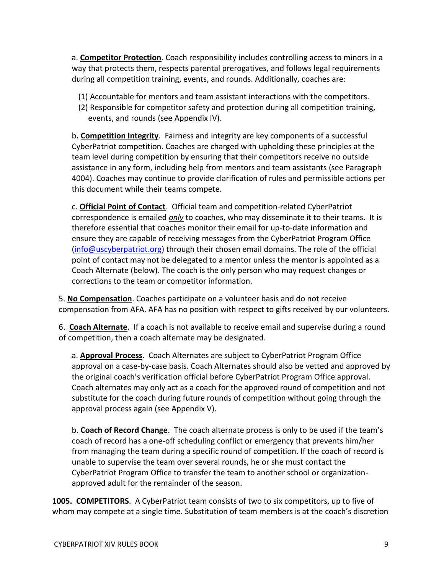a. **Competitor Protection**. Coach responsibility includes controlling access to minors in a way that protects them, respects parental prerogatives, and follows legal requirements during all competition training, events, and rounds. Additionally, coaches are:

- (1) Accountable for mentors and team assistant interactions with the competitors.
- (2) Responsible for competitor safety and protection during all competition training, events, and rounds (see Appendix IV).

b**. Competition Integrity**. Fairness and integrity are key components of a successful CyberPatriot competition. Coaches are charged with upholding these principles at the team level during competition by ensuring that their competitors receive no outside assistance in any form, including help from mentors and team assistants (see Paragraph 4004). Coaches may continue to provide clarification of rules and permissible actions per this document while their teams compete.

c. **Official Point of Contact**. Official team and competition-related CyberPatriot correspondence is emailed *only* to coaches, who may disseminate it to their teams. It is therefore essential that coaches monitor their email for up-to-date information and ensure they are capable of receiving messages from the CyberPatriot Program Office [\(info@uscyberpatriot.org\)](mailto:info@uscyberpatriot.org) through their chosen email domains. The role of the official point of contact may not be delegated to a mentor unless the mentor is appointed as a Coach Alternate (below). The coach is the only person who may request changes or corrections to the team or competitor information.

5. **No Compensation**. Coaches participate on a volunteer basis and do not receive compensation from AFA. AFA has no position with respect to gifts received by our volunteers.

6. **Coach Alternate**. If a coach is not available to receive email and supervise during a round of competition, then a coach alternate may be designated.

a. **Approval Process**. Coach Alternates are subject to CyberPatriot Program Office approval on a case-by-case basis. Coach Alternates should also be vetted and approved by the original coach's verification official before CyberPatriot Program Office approval. Coach alternates may only act as a coach for the approved round of competition and not substitute for the coach during future rounds of competition without going through the approval process again (see Appendix V).

b. **Coach of Record Change**. The coach alternate process is only to be used if the team's coach of record has a one-off scheduling conflict or emergency that prevents him/her from managing the team during a specific round of competition. If the coach of record is unable to supervise the team over several rounds, he or she must contact the CyberPatriot Program Office to transfer the team to another school or organizationapproved adult for the remainder of the season.

**1005. COMPETITORS**. A CyberPatriot team consists of two to six competitors, up to five of whom may compete at a single time. Substitution of team members is at the coach's discretion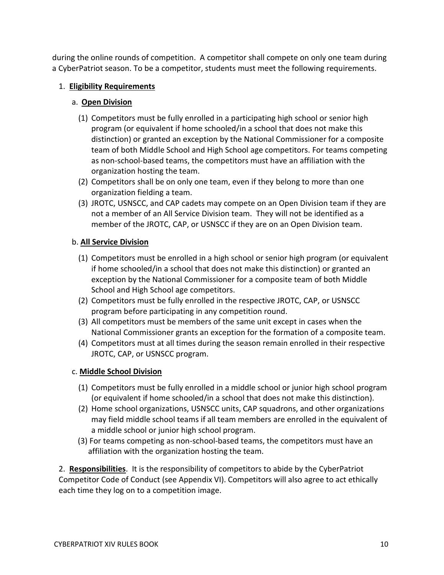during the online rounds of competition. A competitor shall compete on only one team during a CyberPatriot season. To be a competitor, students must meet the following requirements.

## 1. **Eligibility Requirements**

## a. **Open Division**

- (1) Competitors must be fully enrolled in a participating high school or senior high program (or equivalent if home schooled/in a school that does not make this distinction) or granted an exception by the National Commissioner for a composite team of both Middle School and High School age competitors. For teams competing as non-school-based teams, the competitors must have an affiliation with the organization hosting the team.
- (2) Competitors shall be on only one team, even if they belong to more than one organization fielding a team.
- (3) JROTC, USNSCC, and CAP cadets may compete on an Open Division team if they are not a member of an All Service Division team. They will not be identified as a member of the JROTC, CAP, or USNSCC if they are on an Open Division team.

## b. **All Service Division**

- (1) Competitors must be enrolled in a high school or senior high program (or equivalent if home schooled/in a school that does not make this distinction) or granted an exception by the National Commissioner for a composite team of both Middle School and High School age competitors.
- (2) Competitors must be fully enrolled in the respective JROTC, CAP, or USNSCC program before participating in any competition round.
- (3) All competitors must be members of the same unit except in cases when the National Commissioner grants an exception for the formation of a composite team.
- (4) Competitors must at all times during the season remain enrolled in their respective JROTC, CAP, or USNSCC program.

## c. **Middle School Division**

- (1) Competitors must be fully enrolled in a middle school or junior high school program (or equivalent if home schooled/in a school that does not make this distinction).
- (2) Home school organizations, USNSCC units, CAP squadrons, and other organizations may field middle school teams if all team members are enrolled in the equivalent of a middle school or junior high school program.
- (3) For teams competing as non-school-based teams, the competitors must have an affiliation with the organization hosting the team.

2. **Responsibilities**. It is the responsibility of competitors to abide by the CyberPatriot Competitor Code of Conduct (see Appendix VI). Competitors will also agree to act ethically each time they log on to a competition image.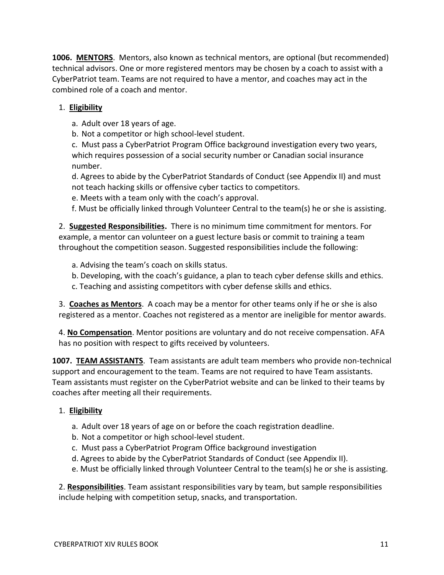**1006. MENTORS**. Mentors, also known as technical mentors, are optional (but recommended) technical advisors. One or more registered mentors may be chosen by a coach to assist with a CyberPatriot team. Teams are not required to have a mentor, and coaches may act in the combined role of a coach and mentor.

## 1. **Eligibility**

a. Adult over 18 years of age.

b. Not a competitor or high school-level student.

c. Must pass a CyberPatriot Program Office background investigation every two years, which requires possession of a social security number or Canadian social insurance number.

d. Agrees to abide by the CyberPatriot Standards of Conduct (see Appendix II) and must not teach hacking skills or offensive cyber tactics to competitors.

e. Meets with a team only with the coach's approval.

f. Must be officially linked through Volunteer Central to the team(s) he or she is assisting.

2. **Suggested Responsibilities.** There is no minimum time commitment for mentors. For example, a mentor can volunteer on a guest lecture basis or commit to training a team throughout the competition season. Suggested responsibilities include the following:

a. Advising the team's coach on skills status.

- b. Developing, with the coach's guidance, a plan to teach cyber defense skills and ethics.
- c. Teaching and assisting competitors with cyber defense skills and ethics.

3. **Coaches as Mentors**. A coach may be a mentor for other teams only if he or she is also registered as a mentor. Coaches not registered as a mentor are ineligible for mentor awards.

4. **No Compensation**. Mentor positions are voluntary and do not receive compensation. AFA has no position with respect to gifts received by volunteers.

**1007. TEAM ASSISTANTS**. Team assistants are adult team members who provide non-technical support and encouragement to the team. Teams are not required to have Team assistants. Team assistants must register on the CyberPatriot website and can be linked to their teams by coaches after meeting all their requirements.

## 1. **Eligibility**

- a. Adult over 18 years of age on or before the coach registration deadline.
- b. Not a competitor or high school-level student.
- c. Must pass a CyberPatriot Program Office background investigation
- d. Agrees to abide by the CyberPatriot Standards of Conduct (see Appendix II).
- e. Must be officially linked through Volunteer Central to the team(s) he or she is assisting.

2. **Responsibilities**. Team assistant responsibilities vary by team, but sample responsibilities include helping with competition setup, snacks, and transportation.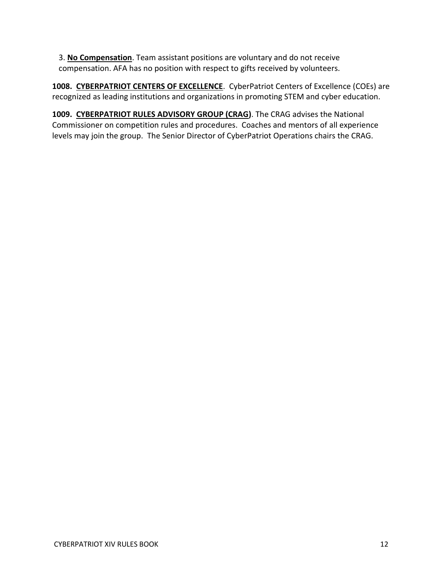3. **No Compensation**. Team assistant positions are voluntary and do not receive compensation. AFA has no position with respect to gifts received by volunteers.

**1008. CYBERPATRIOT CENTERS OF EXCELLENCE**. CyberPatriot Centers of Excellence (COEs) are recognized as leading institutions and organizations in promoting STEM and cyber education.

**1009. CYBERPATRIOT RULES ADVISORY GROUP (CRAG)**. The CRAG advises the National Commissioner on competition rules and procedures. Coaches and mentors of all experience levels may join the group. The Senior Director of CyberPatriot Operations chairs the CRAG.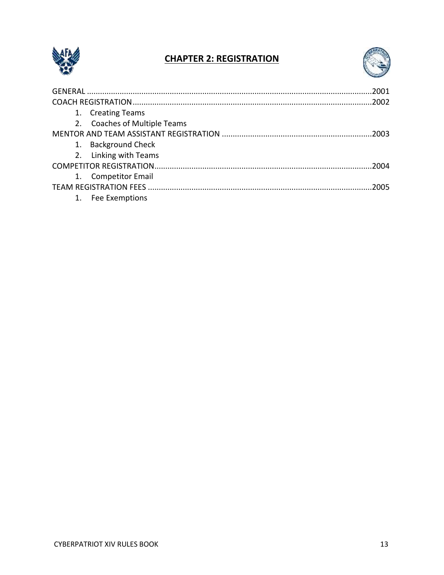

## **CHAPTER 2: REGISTRATION**



| 1. Creating Teams            |      |
|------------------------------|------|
| 2. Coaches of Multiple Teams |      |
|                              |      |
| 1. Background Check          |      |
| 2. Linking with Teams        |      |
|                              | 2004 |
| 1. Competitor Email          |      |
|                              |      |
| 1. Fee Exemptions            |      |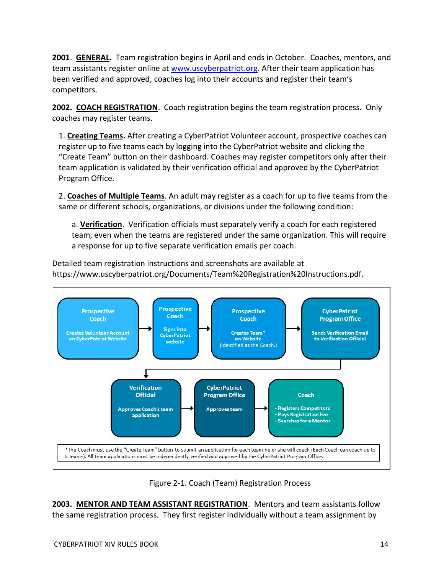**2001**. **GENERAL.** Team registration begins in April and ends in October. Coaches, mentors, and team assistants register online at [www.uscyberpatriot.org.](http://www.uscyberpatriot.org/) After their team application has been verified and approved, coaches log into their accounts and register their team's competitors.

**2002. COACH REGISTRATION**. Coach registration begins the team registration process. Only coaches may register teams.

1. **Creating Teams.** After creating a CyberPatriot Volunteer account, prospective coaches can register up to five teams each by logging into the CyberPatriot website and clicking the "Create Team" button on their dashboard. Coaches may register competitors only after their team application is validated by their verification official and approved by the CyberPatriot Program Office.

2. **Coaches of Multiple Teams**. An adult may register as a coach for up to five teams from the same or different schools, organizations, or divisions under the following condition:

a. **Verification**. Verification officials must separately verify a coach for each registered team, even when the teams are registered under the same organization. This will require a response for up to five separate verification emails per coach.

Detailed team registration instructions and screenshots are available at https://www.uscyberpatriot.org/Documents/Team%20Registration%20Instructions.pdf.



Figure 2-1. Coach (Team) Registration Process

**2003. MENTOR AND TEAM ASSISTANT REGISTRATION**. Mentors and team assistants follow the same registration process. They first register individually without a team assignment by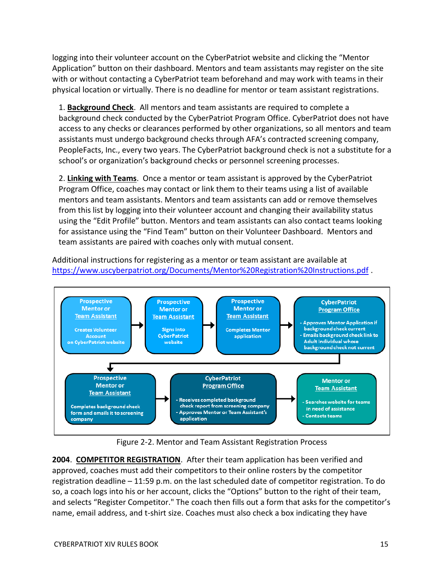logging into their volunteer account on the CyberPatriot website and clicking the "Mentor Application" button on their dashboard. Mentors and team assistants may register on the site with or without contacting a CyberPatriot team beforehand and may work with teams in their physical location or virtually. There is no deadline for mentor or team assistant registrations.

1. **Background Check**. All mentors and team assistants are required to complete a background check conducted by the CyberPatriot Program Office. CyberPatriot does not have access to any checks or clearances performed by other organizations, so all mentors and team assistants must undergo background checks through AFA's contracted screening company, PeopleFacts, Inc., every two years. The CyberPatriot background check is not a substitute for a school's or organization's background checks or personnel screening processes.

2. **Linking with Teams**. Once a mentor or team assistant is approved by the CyberPatriot Program Office, coaches may contact or link them to their teams using a list of available mentors and team assistants. Mentors and team assistants can add or remove themselves from this list by logging into their volunteer account and changing their availability status using the "Edit Profile" button. Mentors and team assistants can also contact teams looking for assistance using the "Find Team" button on their Volunteer Dashboard. Mentors and team assistants are paired with coaches only with mutual consent.

Additional instructions for registering as a mentor or team assistant are available at <https://www.uscyberpatriot.org/Documents/Mentor%20Registration%20Instructions.pdf> .



Figure 2-2. Mentor and Team Assistant Registration Process

**2004**. **COMPETITOR REGISTRATION**. After their team application has been verified and approved, coaches must add their competitors to their online rosters by the competitor registration deadline – 11:59 p.m. on the last scheduled date of competitor registration. To do so, a coach logs into his or her account, clicks the "Options" button to the right of their team, and selects "Register Competitor." The coach then fills out a form that asks for the competitor's name, email address, and t-shirt size. Coaches must also check a box indicating they have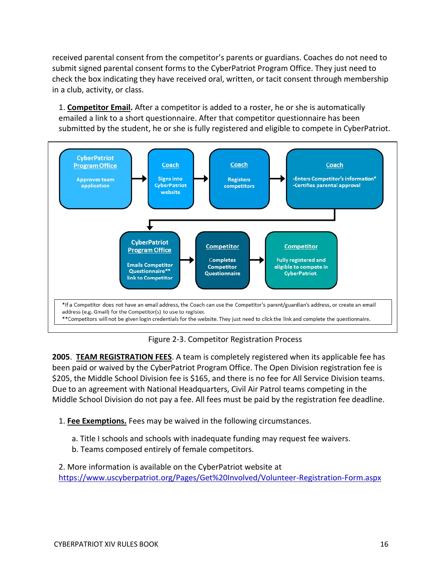received parental consent from the competitor's parents or guardians. Coaches do not need to submit signed parental consent forms to the CyberPatriot Program Office. They just need to check the box indicating they have received oral, written, or tacit consent through membership in a club, activity, or class.

1. **Competitor Email.** After a competitor is added to a roster, he or she is automatically emailed a link to a short questionnaire. After that competitor questionnaire has been submitted by the student, he or she is fully registered and eligible to compete in CyberPatriot.



Figure 2-3. Competitor Registration Process

**2005**. **TEAM REGISTRATION FEES**. A team is completely registered when its applicable fee has been paid or waived by the CyberPatriot Program Office. The Open Division registration fee is \$205, the Middle School Division fee is \$165, and there is no fee for All Service Division teams. Due to an agreement with National Headquarters, Civil Air Patrol teams competing in the Middle School Division do not pay a fee. All fees must be paid by the registration fee deadline.

- 1. **Fee Exemptions.** Fees may be waived in the following circumstances.
	- a. Title I schools and schools with inadequate funding may request fee waivers.
	- b. Teams composed entirely of female competitors.

2. More information is available on the CyberPatriot website at <https://www.uscyberpatriot.org/Pages/Get%20Involved/Volunteer-Registration-Form.aspx>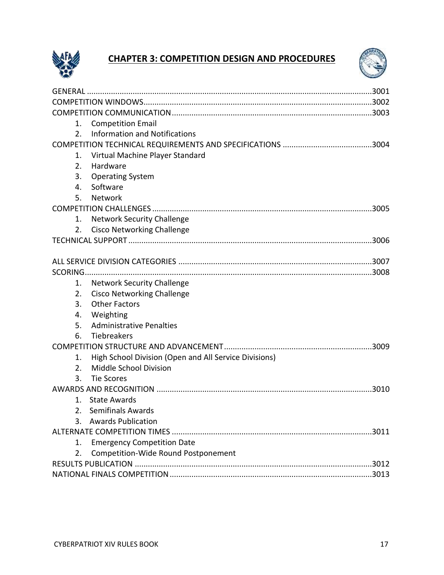

## **CHAPTER 3: COMPETITION DESIGN AND PROCEDURES**



| 1.             | <b>Competition Email</b>                              |  |
|----------------|-------------------------------------------------------|--|
| 2.             | <b>Information and Notifications</b>                  |  |
|                |                                                       |  |
| 1.             | Virtual Machine Player Standard                       |  |
| 2.             | Hardware                                              |  |
| 3.             | <b>Operating System</b>                               |  |
| 4.             | Software                                              |  |
| 5.             | Network                                               |  |
|                |                                                       |  |
| 1.             | <b>Network Security Challenge</b>                     |  |
| 2.             | <b>Cisco Networking Challenge</b>                     |  |
|                |                                                       |  |
|                |                                                       |  |
|                |                                                       |  |
|                |                                                       |  |
| 1.             | <b>Network Security Challenge</b>                     |  |
| 2.             | <b>Cisco Networking Challenge</b>                     |  |
| 3.             | <b>Other Factors</b>                                  |  |
| 4.             | Weighting                                             |  |
| 5.             | <b>Administrative Penalties</b>                       |  |
| 6.             | Tiebreakers                                           |  |
|                |                                                       |  |
| 1.             | High School Division (Open and All Service Divisions) |  |
| 2.             | Middle School Division                                |  |
| 3.             | <b>Tie Scores</b>                                     |  |
|                |                                                       |  |
| $\mathbf{1}$ . | <b>State Awards</b>                                   |  |
| 2.             | <b>Semifinals Awards</b>                              |  |
|                | 3. Awards Publication                                 |  |
|                |                                                       |  |
| 1.             | <b>Emergency Competition Date</b>                     |  |
| 2.             | Competition-Wide Round Postponement                   |  |
|                |                                                       |  |
|                |                                                       |  |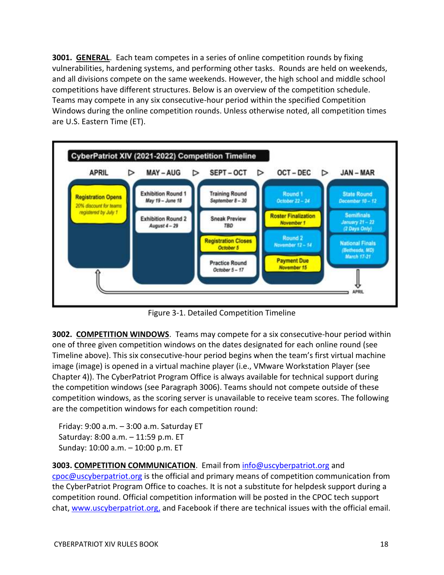**3001. GENERAL**. Each team competes in a series of online competition rounds by fixing vulnerabilities, hardening systems, and performing other tasks. Rounds are held on weekends, and all divisions compete on the same weekends. However, the high school and middle school competitions have different structures. Below is an overview of the competition schedule. Teams may compete in any six consecutive-hour period within the specified Competition Windows during the online competition rounds. Unless otherwise noted, all competition times are U.S. Eastern Time (ET).



Figure 3-1. Detailed Competition Timeline

**3002. COMPETITION WINDOWS**.Teams may compete for a six consecutive-hour period within one of three given competition windows on the dates designated for each online round (see Timeline above). This six consecutive-hour period begins when the team's first virtual machine image (image) is opened in a virtual machine player (i.e., VMware Workstation Player (see Chapter 4)). The CyberPatriot Program Office is always available for technical support during the competition windows (see Paragraph 3006). Teams should not compete outside of these competition windows, as the scoring server is unavailable to receive team scores. The following are the competition windows for each competition round:

Friday: 9:00 a.m. – 3:00 a.m. Saturday ET Saturday: 8:00 a.m. – 11:59 p.m. ET Sunday: 10:00 a.m. – 10:00 p.m. ET

## **3003. COMPETITION COMMUNICATION**. Email from [info@uscyberpatriot.org](mailto:info@uscyberpatriot.org) and

[cpoc@uscyberpatriot.org](mailto:cpoc@uscyberpatriot.org) is the official and primary means of competition communication from the CyberPatriot Program Office to coaches. It is not a substitute for helpdesk support during a competition round. Official competition information will be posted in the CPOC tech support chat, [www.uscyberpatriot.org,](http://www.uscyberpatriot.org/) and Facebook if there are technical issues with the official email.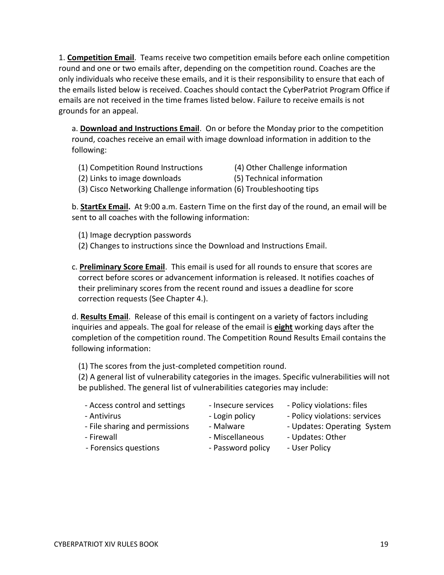1. **Competition Email**. Teams receive two competition emails before each online competition round and one or two emails after, depending on the competition round. Coaches are the only individuals who receive these emails, and it is their responsibility to ensure that each of the emails listed below is received. Coaches should contact the CyberPatriot Program Office if emails are not received in the time frames listed below. Failure to receive emails is not grounds for an appeal.

a. **Download and Instructions Email**. On or before the Monday prior to the competition round, coaches receive an email with image download information in addition to the following:

- (1) Competition Round Instructions (4) Other Challenge information
- 
- (2) Links to image downloads (5) Technical information
- (3) Cisco Networking Challenge information (6) Troubleshooting tips

b. **StartEx Email.** At 9:00 a.m. Eastern Time on the first day of the round, an email will be sent to all coaches with the following information:

- (1) Image decryption passwords
- (2) Changes to instructions since the Download and Instructions Email.
- c. **Preliminary Score Email**. This email is used for all rounds to ensure that scores are correct before scores or advancement information is released. It notifies coaches of their preliminary scores from the recent round and issues a deadline for score correction requests (See Chapter 4.).

d. **Results Email**. Release of this email is contingent on a variety of factors including inquiries and appeals. The goal for release of the email is **eight** working days after the completion of the competition round. The Competition Round Results Email contains the following information:

(1) The scores from the just-completed competition round.

(2) A general list of vulnerability categories in the images. Specific vulnerabilities will not be published. The general list of vulnerabilities categories may include:

- Access control and settings Insecure services Policy violations: files
	-
- 
- 
- File sharing and permissions Malware Updates: Operating System
- 
- Forensics questions Password policy User Policy
- 
- Antivirus  **Login policy** Policy violations: services
	-
- Firewall **Exercise 2018** Miscellaneous Updates: Other
	-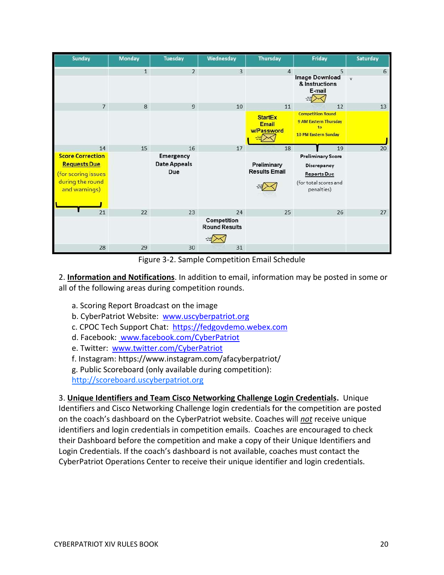| <b>Sunday</b>                                                                                                    | <b>Monday</b> | <b>Tuesday</b>                                       | Wednesday                                 | Thursday                                           | Friday                                                                                                     | Saturday          |
|------------------------------------------------------------------------------------------------------------------|---------------|------------------------------------------------------|-------------------------------------------|----------------------------------------------------|------------------------------------------------------------------------------------------------------------|-------------------|
|                                                                                                                  | $\mathbf{1}$  | $\overline{2}$                                       | $\overline{3}$                            | $\overline{4}$                                     | 5<br>Image Download<br>& Instructions<br>E-mail                                                            | 6<br>$\mathbf{v}$ |
| $7\overline{ }$                                                                                                  | 8             | $\overline{9}$                                       | 10                                        | 11<br><b>StartEx</b><br><b>Email</b><br>w/Password | 12<br><b>Competition Round</b><br><b>9 AM Eastern Thursday</b><br>to<br>10 PM Eastern Sunday               | 13                |
| 14<br><b>Score Correction</b><br><b>Requests Due</b><br>(for scoring issues<br>during the round<br>and warnings) | 15            | 16<br><b>Emergency</b><br><b>Date Appeals</b><br>Due | 17                                        | 18<br>Preliminary<br><b>Results Email</b>          | 19<br><b>Preliminary Score</b><br>Discrepancy<br><b>Reports Due</b><br>(for total scores and<br>penalties) | 20                |
| 21                                                                                                               | 22            | 23                                                   | 24<br>Competition<br><b>Round Results</b> | 25                                                 | 26                                                                                                         | 27                |
| 28                                                                                                               | 29            | 30                                                   | 31                                        |                                                    |                                                                                                            |                   |

Figure 3-2. Sample Competition Email Schedule

2. **Information and Notifications**. In addition to email, information may be posted in some or all of the following areas during competition rounds.

- a. Scoring Report Broadcast on the image
- b. CyberPatriot Website: [www.uscyberpatriot.org](http://www.uscyberpatriot.org/)
- c. CPOC Tech Support Chat: [https://fedgovdemo.webex.com](https://fedgovdemo.webex.com/)
- d. Facebook: [www.facebook.com/CyberPatriot](http://www.facebook.com/CyberPatriot)
- e. Twitter: [www.twitter.com/CyberPatriot](http://www.twitter.com/CyberPatriot)
- f. Instagram: https://www.instagram.com/afacyberpatriot/
- g. Public Scoreboard (only available during competition):
- [http://scoreboard.uscyberpatriot.org](http://scoreboard.uscyberpatriot.org/)

3. **Unique Identifiers and Team Cisco Networking Challenge Login Credentials.** Unique Identifiers and Cisco Networking Challenge login credentials for the competition are posted on the coach's dashboard on the CyberPatriot website. Coaches will *not* receive unique identifiers and login credentials in competition emails. Coaches are encouraged to check their Dashboard before the competition and make a copy of their Unique Identifiers and Login Credentials. If the coach's dashboard is not available, coaches must contact the CyberPatriot Operations Center to receive their unique identifier and login credentials.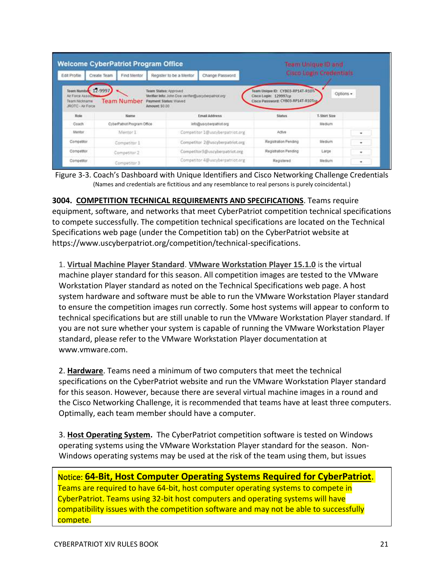|                                                                              | <b>Welcome CyberPatriot Program Office</b>                                             |                                                    | Team Unique ID and<br><b>Cisco Login Credentials</b>                                             |              |   |
|------------------------------------------------------------------------------|----------------------------------------------------------------------------------------|----------------------------------------------------|--------------------------------------------------------------------------------------------------|--------------|---|
| Edit Profile                                                                 | Create Team<br>Find Mentor                                                             | Change Password<br>Register to be a Mentor         |                                                                                                  |              |   |
| Team Number 12-9997<br>Air Force Assoc<br>Team Nickname<br>JROTC + Air Force | Team Status: Approved<br><b>Team Number</b><br>Payment Status: Waived<br>Amount \$0.00 | Verifier late: John Doe ventlen@uscyberpatrick.org | Team Unique ID: CYBO3-RP14T-R10Tr<br>Cisco Login: 129997cp<br>Cisco Password: CYB03-RP14T-R10Tcg | Options +    |   |
|                                                                              |                                                                                        |                                                    |                                                                                                  |              |   |
| Role                                                                         | Name                                                                                   | <b>Email Address</b>                               | Status                                                                                           | T-Shirt Size |   |
| Coach                                                                        | CyberPatriot Program Office                                                            | info@uscyberpatrict.org                            |                                                                                                  | Medium       |   |
| Mentor                                                                       | Mentor I                                                                               | Competitor 1@uscyberpatriot.org                    | Active                                                                                           |              | ۰ |
|                                                                              | Competitor 1                                                                           | Competitor 2@uscyberpatriot.org                    | Registration Pending                                                                             | Medium       | ٠ |
| Competitor<br>Competitor                                                     | Competitor 2                                                                           | Competitor3@uscyberpatriot.org                     | Registration Pending                                                                             | Large        | ٠ |

Figure 3-3. Coach's Dashboard with Unique Identifiers and Cisco Networking Challenge Credentials (Names and credentials are fictitious and any resemblance to real persons is purely coincidental.)

**3004. COMPETITION TECHNICAL REQUIREMENTS AND SPECIFICATIONS**. Teams require equipment, software, and networks that meet CyberPatriot competition technical specifications to compete successfully. The competition technical specifications are located on the Technical Specifications web page (under the Competition tab) on the CyberPatriot website at https://www.uscyberpatriot.org/competition/technical-specifications.

1. **Virtual Machine Player Standard**. **VMware Workstation Player 15.1.0** is the virtual machine player standard for this season. All competition images are tested to the VMware Workstation Player standard as noted on the Technical Specifications web page. A host system hardware and software must be able to run the VMware Workstation Player standard to ensure the competition images run correctly. Some host systems will appear to conform to technical specifications but are still unable to run the VMware Workstation Player standard. If you are not sure whether your system is capable of running the VMware Workstation Player standard, please refer to the VMware Workstation Player documentation at www.vmware.com.

2. **Hardware**. Teams need a minimum of two computers that meet the technical specifications on the CyberPatriot website and run the VMware Workstation Player standard for this season. However, because there are several virtual machine images in a round and the Cisco Networking Challenge, it is recommended that teams have at least three computers. Optimally, each team member should have a computer.

3. **Host Operating System.** The CyberPatriot competition software is tested on Windows operating systems using the VMware Workstation Player standard for the season. Non-Windows operating systems may be used at the risk of the team using them, but issues

Notice: **64-Bit, Host Computer Operating Systems Required for CyberPatriot**.

Teams are required to have 64-bit, host computer operating systems to compete in CyberPatriot. Teams using 32-bit host computers and operating systems will have compatibility issues with the competition software and may not be able to successfully compete.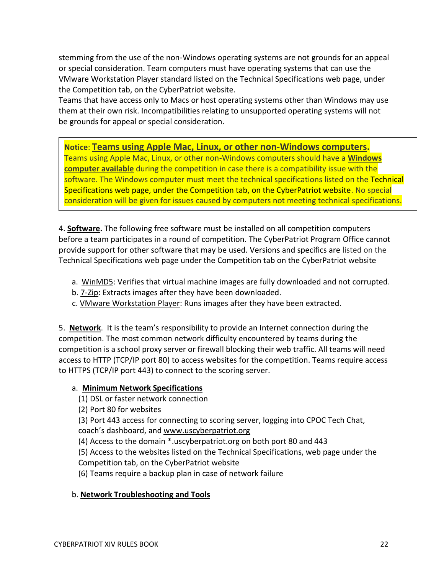stemming from the use of the non-Windows operating systems are not grounds for an appeal or special consideration. Team computers must have operating systems that can use the VMware Workstation Player standard listed on the Technical Specifications web page, under the Competition tab, on the CyberPatriot website.

Teams that have access only to Macs or host operating systems other than Windows may use them at their own risk. Incompatibilities relating to unsupported operating systems will not be grounds for appeal or special consideration.

## **Notice**: **Teams using Apple Mac, Linux, or other non-Windows computers.**

Teams using Apple Mac, Linux, or other non-Windows computers should have a **Windows computer available** during the competition in case there is a compatibility issue with the software. The Windows computer must meet the technical specifications listed on the Technical Specifications web page, under the Competition tab, on the CyberPatriot website. No special consideration will be given for issues caused by computers not meeting technical specifications.

4. **Software.** The following free software must be installed on all competition computers before a team participates in a round of competition. The CyberPatriot Program Office cannot provide support for other software that may be used. Versions and specifics are listed on the Technical Specifications web page under the Competition tab on the CyberPatriot website

- a. WinMD5: Verifies that virtual machine images are fully downloaded and not corrupted.
- b. 7-Zip: Extracts images after they have been downloaded.
- c. VMware Workstation Player: Runs images after they have been extracted.

5. **Network**. It is the team's responsibility to provide an Internet connection during the competition. The most common network difficulty encountered by teams during the competition is a school proxy server or firewall blocking their web traffic. All teams will need access to HTTP (TCP/IP port 80) to access websites for the competition. Teams require access to HTTPS (TCP/IP port 443) to connect to the scoring server.

### a. **Minimum Network Specifications**

- (1) DSL or faster network connection
- (2) Port 80 for websites

(3) Port 443 access for connecting to scoring server, logging into CPOC Tech Chat, coach's dashboard, an[d www.uscyberpatriot.org](http://www.uscyberpatriot.org/)

(4) Access to the domain \*.uscyberpatriot.org on both port 80 and 443

(5) Access to the websites listed on the Technical Specifications, web page under the Competition tab, on the CyberPatriot website

(6) Teams require a backup plan in case of network failure

### b. **Network Troubleshooting and Tools**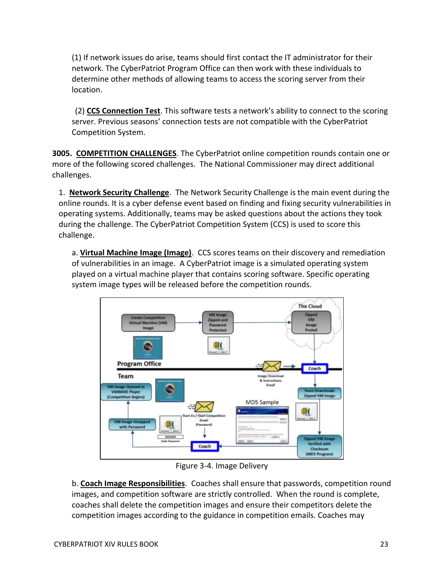(1) If network issues do arise, teams should first contact the IT administrator for their network. The CyberPatriot Program Office can then work with these individuals to determine other methods of allowing teams to access the scoring server from their location.

(2) **CCS Connection Test**. This software tests a network's ability to connect to the scoring server. Previous seasons' connection tests are not compatible with the CyberPatriot Competition System.

**3005. COMPETITION CHALLENGES**. The CyberPatriot online competition rounds contain one or more of the following scored challenges. The National Commissioner may direct additional challenges.

1. **Network Security Challenge**. The Network Security Challenge is the main event during the online rounds. It is a cyber defense event based on finding and fixing security vulnerabilities in operating systems. Additionally, teams may be asked questions about the actions they took during the challenge. The CyberPatriot Competition System (CCS) is used to score this challenge.

a. **Virtual Machine Image (Image)**. CCS scores teams on their discovery and remediation of vulnerabilities in an image. A CyberPatriot image is a simulated operating system played on a virtual machine player that contains scoring software. Specific operating system image types will be released before the competition rounds.



Figure 3-4. Image Delivery

b. **Coach Image Responsibilities**. Coaches shall ensure that passwords, competition round images, and competition software are strictly controlled. When the round is complete, coaches shall delete the competition images and ensure their competitors delete the competition images according to the guidance in competition emails. Coaches may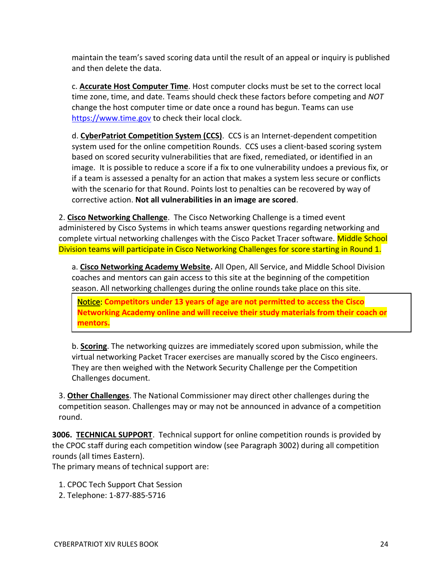maintain the team's saved scoring data until the result of an appeal or inquiry is published and then delete the data.

c. **Accurate Host Computer Time**. Host computer clocks must be set to the correct local time zone, time, and date. Teams should check these factors before competing and *NOT* change the host computer time or date once a round has begun. Teams can use [https://www.time.gov](https://www.time.gov/) to check their local clock.

d. **CyberPatriot Competition System (CCS)**. CCS is an Internet-dependent competition system used for the online competition Rounds. CCS uses a client-based scoring system based on scored security vulnerabilities that are fixed, remediated, or identified in an image. It is possible to reduce a score if a fix to one vulnerability undoes a previous fix, or if a team is assessed a penalty for an action that makes a system less secure or conflicts with the scenario for that Round. Points lost to penalties can be recovered by way of corrective action. **Not all vulnerabilities in an image are scored**.

2. **Cisco Networking Challenge**. The Cisco Networking Challenge is a timed event administered by Cisco Systems in which teams answer questions regarding networking and complete virtual networking challenges with the Cisco Packet Tracer software. Middle School Division teams will participate in Cisco Networking Challenges for score starting in Round 1.

a. **Cisco Networking Academy Website.** All Open, All Service, and Middle School Division coaches and mentors can gain access to this site at the beginning of the competition season. All networking challenges during the online rounds take place on this site.

Notice: **Competitors under 13 years of age are not permitted to access the Cisco Networking Academy online and will receive their study materials from their coach or mentors.**

b. **Scoring**. The networking quizzes are immediately scored upon submission, while the virtual networking Packet Tracer exercises are manually scored by the Cisco engineers. They are then weighed with the Network Security Challenge per the Competition Challenges document.

3. **Other Challenges**. The National Commissioner may direct other challenges during the competition season. Challenges may or may not be announced in advance of a competition round.

**3006. TECHNICAL SUPPORT**. Technical support for online competition rounds is provided by the CPOC staff during each competition window (see Paragraph 3002) during all competition rounds (all times Eastern).

The primary means of technical support are:

- 1. CPOC Tech Support Chat Session
- 2. Telephone: 1-877-885-5716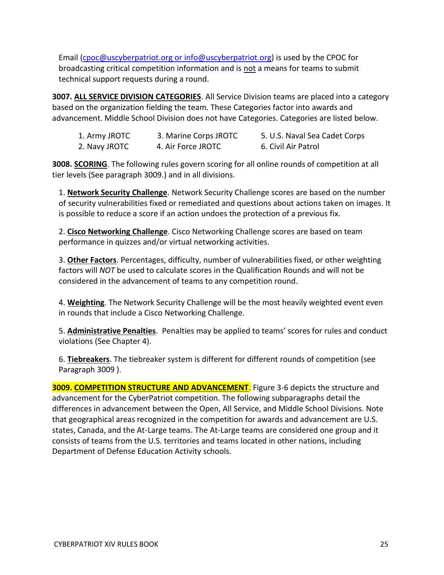Email [\(cpoc@uscyberpatriot.org](mailto:cpoc@uscyberpatriot.org) or info@uscyberpatriot.org) is used by the CPOC for broadcasting critical competition information and is not a means for teams to submit technical support requests during a round.

**3007. ALL SERVICE DIVISION CATEGORIES**. All Service Division teams are placed into a category based on the organization fielding the team. These Categories factor into awards and advancement. Middle School Division does not have Categories. Categories are listed below.

| 1. Army JROTC | 3. Marine Corps JROTC | 5. U.S. Naval Sea Cadet Corps |
|---------------|-----------------------|-------------------------------|
| 2. Navy JROTC | 4. Air Force JROTC    | 6. Civil Air Patrol           |

**3008. SCORING**. The following rules govern scoring for all online rounds of competition at all tier levels (See paragraph 3009.) and in all divisions.

1. **Network Security Challenge**. Network Security Challenge scores are based on the number of security vulnerabilities fixed or remediated and questions about actions taken on images. It is possible to reduce a score if an action undoes the protection of a previous fix.

2. **Cisco Networking Challenge**. Cisco Networking Challenge scores are based on team performance in quizzes and/or virtual networking activities.

3. **Other Factors**. Percentages, difficulty, number of vulnerabilities fixed, or other weighting factors will *NOT* be used to calculate scores in the Qualification Rounds and will not be considered in the advancement of teams to any competition round.

4. **Weighting**. The Network Security Challenge will be the most heavily weighted event even in rounds that include a Cisco Networking Challenge.

5. **Administrative Penalties**. Penalties may be applied to teams' scores for rules and conduct violations (See Chapter 4).

6. **Tiebreakers**. The tiebreaker system is different for different rounds of competition (see Paragraph 3009 ).

**3009. COMPETITION STRUCTURE AND ADVANCEMENT.** Figure 3-6 depicts the structure and advancement for the CyberPatriot competition. The following subparagraphs detail the differences in advancement between the Open, All Service, and Middle School Divisions. Note that geographical areas recognized in the competition for awards and advancement are U.S. states, Canada, and the At-Large teams. The At-Large teams are considered one group and it consists of teams from the U.S. territories and teams located in other nations, including Department of Defense Education Activity schools.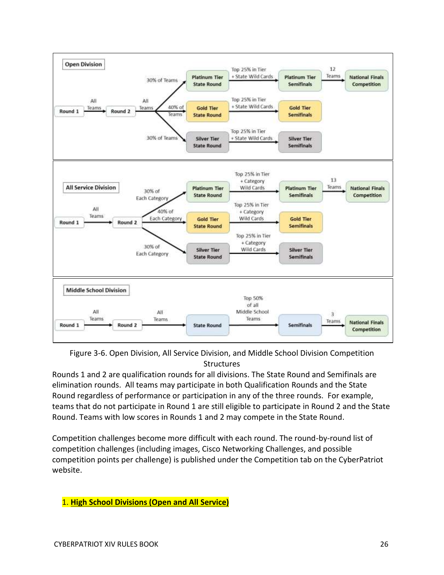

Figure 3-6. Open Division, All Service Division, and Middle School Division Competition **Structures** 

Rounds 1 and 2 are qualification rounds for all divisions. The State Round and Semifinals are elimination rounds. All teams may participate in both Qualification Rounds and the State Round regardless of performance or participation in any of the three rounds. For example, teams that do not participate in Round 1 are still eligible to participate in Round 2 and the State Round. Teams with low scores in Rounds 1 and 2 may compete in the State Round.

Competition challenges become more difficult with each round. The round-by-round list of competition challenges (including images, Cisco Networking Challenges, and possible competition points per challenge) is published under the Competition tab on the CyberPatriot website.

## 1. **High School Divisions (Open and All Service)**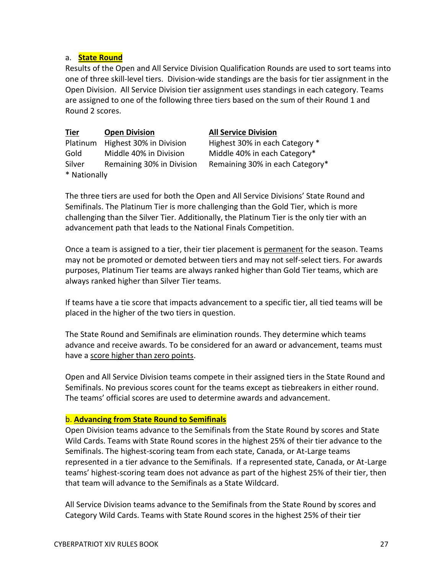### a. **State Round**

Results of the Open and All Service Division Qualification Rounds are used to sort teams into one of three skill-level tiers. Division-wide standings are the basis for tier assignment in the Open Division. All Service Division tier assignment uses standings in each category. Teams are assigned to one of the following three tiers based on the sum of their Round 1 and Round 2 scores.

| <u>Tier</u>  | <b>Open Division</b>      | <b>All Service Division</b>     |  |  |
|--------------|---------------------------|---------------------------------|--|--|
| Platinum     | Highest 30% in Division   | Highest 30% in each Category *  |  |  |
| Gold         | Middle 40% in Division    | Middle 40% in each Category*    |  |  |
| Silver       | Remaining 30% in Division | Remaining 30% in each Category* |  |  |
| * Nationally |                           |                                 |  |  |

The three tiers are used for both the Open and All Service Divisions' State Round and Semifinals. The Platinum Tier is more challenging than the Gold Tier, which is more challenging than the Silver Tier. Additionally, the Platinum Tier is the only tier with an advancement path that leads to the National Finals Competition.

Once a team is assigned to a tier, their tier placement is permanent for the season. Teams may not be promoted or demoted between tiers and may not self-select tiers. For awards purposes, Platinum Tier teams are always ranked higher than Gold Tier teams, which are always ranked higher than Silver Tier teams.

If teams have a tie score that impacts advancement to a specific tier, all tied teams will be placed in the higher of the two tiers in question.

The State Round and Semifinals are elimination rounds. They determine which teams advance and receive awards. To be considered for an award or advancement, teams must have a score higher than zero points.

Open and All Service Division teams compete in their assigned tiers in the State Round and Semifinals. No previous scores count for the teams except as tiebreakers in either round. The teams' official scores are used to determine awards and advancement.

#### b. **Advancing from State Round to Semifinals**

Open Division teams advance to the Semifinals from the State Round by scores and State Wild Cards. Teams with State Round scores in the highest 25% of their tier advance to the Semifinals. The highest-scoring team from each state, Canada, or At-Large teams represented in a tier advance to the Semifinals. If a represented state, Canada, or At-Large teams' highest-scoring team does not advance as part of the highest 25% of their tier, then that team will advance to the Semifinals as a State Wildcard.

All Service Division teams advance to the Semifinals from the State Round by scores and Category Wild Cards. Teams with State Round scores in the highest 25% of their tier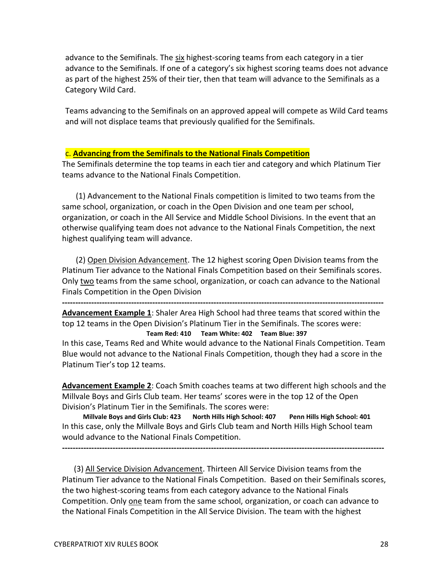advance to the Semifinals. The six highest-scoring teams from each category in a tier advance to the Semifinals. If one of a category's six highest scoring teams does not advance as part of the highest 25% of their tier, then that team will advance to the Semifinals as a Category Wild Card.

Teams advancing to the Semifinals on an approved appeal will compete as Wild Card teams and will not displace teams that previously qualified for the Semifinals.

#### c. **Advancing from the Semifinals to the National Finals Competition**

The Semifinals determine the top teams in each tier and category and which Platinum Tier teams advance to the National Finals Competition.

 (1) Advancement to the National Finals competition is limited to two teams from the same school, organization, or coach in the Open Division and one team per school, organization, or coach in the All Service and Middle School Divisions. In the event that an otherwise qualifying team does not advance to the National Finals Competition, the next highest qualifying team will advance.

 (2) Open Division Advancement. The 12 highest scoring Open Division teams from the Platinum Tier advance to the National Finals Competition based on their Semifinals scores. Only two teams from the same school, organization, or coach can advance to the National Finals Competition in the Open Division

**-------------------------------------------------------------------------------------------------------------------------**

**Advancement Example 1**: Shaler Area High School had three teams that scored within the top 12 teams in the Open Division's Platinum Tier in the Semifinals. The scores were: **Team Red: 410 Team White: 402 Team Blue: 397**

In this case, Teams Red and White would advance to the National Finals Competition. Team Blue would not advance to the National Finals Competition, though they had a score in the Platinum Tier's top 12 teams.

**Advancement Example 2**: Coach Smith coaches teams at two different high schools and the Millvale Boys and Girls Club team. Her teams' scores were in the top 12 of the Open Division's Platinum Tier in the Semifinals. The scores were:

**Millvale Boys and Girls Club: 423 North Hills High School: 407 Penn Hills High School: 401** In this case, only the Millvale Boys and Girls Club team and North Hills High School team would advance to the National Finals Competition.

 (3) All Service Division Advancement. Thirteen All Service Division teams from the Platinum Tier advance to the National Finals Competition. Based on their Semifinals scores, the two highest-scoring teams from each category advance to the National Finals Competition. Only one team from the same school, organization, or coach can advance to the National Finals Competition in the All Service Division. The team with the highest

**-------------------------------------------------------------------------------------------------------------------------**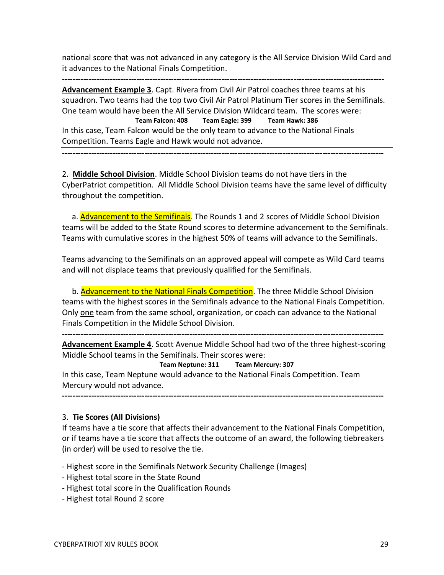national score that was not advanced in any category is the All Service Division Wild Card and it advances to the National Finals Competition.

**------------------------------------------------------------------------------------------------------------------------- Advancement Example 3**. Capt. Rivera from Civil Air Patrol coaches three teams at his squadron. Two teams had the top two Civil Air Patrol Platinum Tier scores in the Semifinals. One team would have been the All Service Division Wildcard team. The scores were: **Team Falcon: 408 Team Eagle: 399 Team Hawk: 386** In this case, Team Falcon would be the only team to advance to the National Finals Competition. Teams Eagle and Hawk would not advance.

**-------------------------------------------------------------------------------------------------------------------------**

2. **Middle School Division**. Middle School Division teams do not have tiers in the CyberPatriot competition. All Middle School Division teams have the same level of difficulty throughout the competition.

a. Advancement to the Semifinals. The Rounds 1 and 2 scores of Middle School Division teams will be added to the State Round scores to determine advancement to the Semifinals. Teams with cumulative scores in the highest 50% of teams will advance to the Semifinals.

Teams advancing to the Semifinals on an approved appeal will compete as Wild Card teams and will not displace teams that previously qualified for the Semifinals.

b. **Advancement to the National Finals Competition**. The three Middle School Division teams with the highest scores in the Semifinals advance to the National Finals Competition. Only one team from the same school, organization, or coach can advance to the National Finals Competition in the Middle School Division.

**------------------------------------------------------------------------------------------------------------------------- Advancement Example 4**. Scott Avenue Middle School had two of the three highest-scoring Middle School teams in the Semifinals. Their scores were:

#### **Team Neptune: 311 Team Mercury: 307**

In this case, Team Neptune would advance to the National Finals Competition. Team Mercury would not advance.

**-------------------------------------------------------------------------------------------------------------------------**

### 3. **Tie Scores (All Divisions)**

If teams have a tie score that affects their advancement to the National Finals Competition, or if teams have a tie score that affects the outcome of an award, the following tiebreakers (in order) will be used to resolve the tie.

- Highest score in the Semifinals Network Security Challenge (Images)

- Highest total score in the State Round
- Highest total score in the Qualification Rounds
- Highest total Round 2 score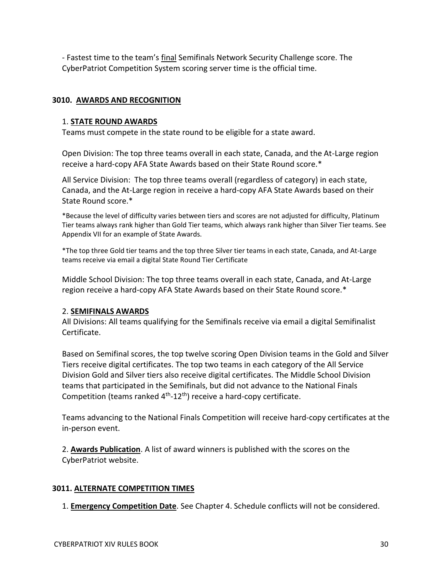- Fastest time to the team's final Semifinals Network Security Challenge score. The CyberPatriot Competition System scoring server time is the official time.

## **3010. AWARDS AND RECOGNITION**

## 1. **STATE ROUND AWARDS**

Teams must compete in the state round to be eligible for a state award.

Open Division: The top three teams overall in each state, Canada, and the At-Large region receive a hard-copy AFA State Awards based on their State Round score.\*

All Service Division: The top three teams overall (regardless of category) in each state, Canada, and the At-Large region in receive a hard-copy AFA State Awards based on their State Round score.\*

\*Because the level of difficulty varies between tiers and scores are not adjusted for difficulty, Platinum Tier teams always rank higher than Gold Tier teams, which always rank higher than Silver Tier teams. See Appendix VII for an example of State Awards.

\*The top three Gold tier teams and the top three Silver tier teams in each state, Canada, and At-Large teams receive via email a digital State Round Tier Certificate

Middle School Division: The top three teams overall in each state, Canada, and At-Large region receive a hard-copy AFA State Awards based on their State Round score.\*

### 2. **SEMIFINALS AWARDS**

All Divisions: All teams qualifying for the Semifinals receive via email a digital Semifinalist Certificate.

Based on Semifinal scores, the top twelve scoring Open Division teams in the Gold and Silver Tiers receive digital certificates. The top two teams in each category of the All Service Division Gold and Silver tiers also receive digital certificates. The Middle School Division teams that participated in the Semifinals, but did not advance to the National Finals Competition (teams ranked 4<sup>th</sup>-12<sup>th</sup>) receive a hard-copy certificate.

Teams advancing to the National Finals Competition will receive hard-copy certificates at the in-person event.

2. **Awards Publication**. A list of award winners is published with the scores on the CyberPatriot website.

### **3011. ALTERNATE COMPETITION TIMES**

1. **Emergency Competition Date**. See Chapter 4. Schedule conflicts will not be considered.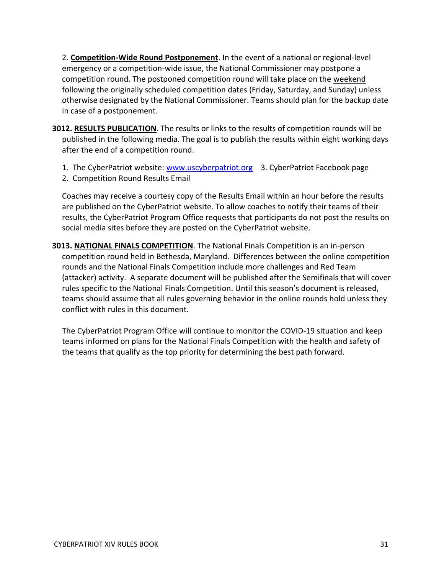2. **Competition-Wide Round Postponement**. In the event of a national or regional-level emergency or a competition-wide issue, the National Commissioner may postpone a competition round. The postponed competition round will take place on the weekend following the originally scheduled competition dates (Friday, Saturday, and Sunday) unless otherwise designated by the National Commissioner. Teams should plan for the backup date in case of a postponement.

- **3012. RESULTS PUBLICATION**. The results or links to the results of competition rounds will be published in the following media. The goal is to publish the results within eight working days after the end of a competition round.
	- 1. The CyberPatriot website: [www.uscyberpatriot.org](http://www.uscyberpatriot.org/) 3. CyberPatriot Facebook page
	- 2. Competition Round Results Email

Coaches may receive a courtesy copy of the Results Email within an hour before the results are published on the CyberPatriot website. To allow coaches to notify their teams of their results, the CyberPatriot Program Office requests that participants do not post the results on social media sites before they are posted on the CyberPatriot website.

**3013. NATIONAL FINALS COMPETITION**. The National Finals Competition is an in-person competition round held in Bethesda, Maryland. Differences between the online competition rounds and the National Finals Competition include more challenges and Red Team (attacker) activity. A separate document will be published after the Semifinals that will cover rules specific to the National Finals Competition. Until this season's document is released, teams should assume that all rules governing behavior in the online rounds hold unless they conflict with rules in this document.

 The CyberPatriot Program Office will continue to monitor the COVID-19 situation and keep teams informed on plans for the National Finals Competition with the health and safety of the teams that qualify as the top priority for determining the best path forward.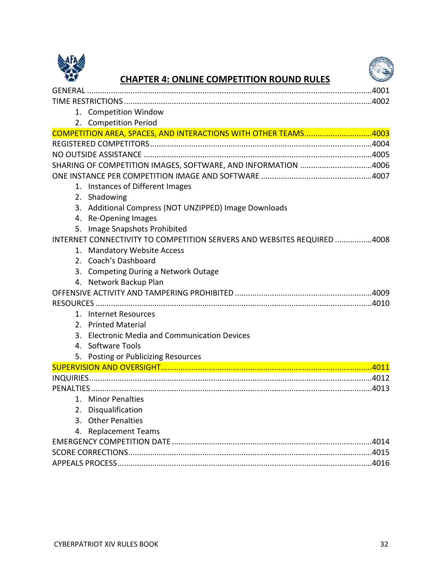



## **CHAPTER 4: ONLINE COMPETITION ROUND RULES**

| 1. Competition Window                                                   |
|-------------------------------------------------------------------------|
| 2. Competition Period                                                   |
| COMPETITION AREA, SPACES, AND INTERACTIONS WITH OTHER TEAMS4003         |
|                                                                         |
|                                                                         |
| SHARING OF COMPETITION IMAGES, SOFTWARE, AND INFORMATION 4006           |
|                                                                         |
| 1. Instances of Different Images                                        |
| 2. Shadowing                                                            |
| 3. Additional Compress (NOT UNZIPPED) Image Downloads                   |
| 4. Re-Opening Images                                                    |
| 5. Image Snapshots Prohibited                                           |
| INTERNET CONNECTIVITY TO COMPETITION SERVERS AND WEBSITES REQUIRED 4008 |
| 1. Mandatory Website Access                                             |
| 2. Coach's Dashboard                                                    |
| 3. Competing During a Network Outage                                    |
| 4. Network Backup Plan                                                  |
|                                                                         |
|                                                                         |
| 1. Internet Resources                                                   |
| 2. Printed Material                                                     |
| 3. Electronic Media and Communication Devices                           |
| 4. Software Tools                                                       |
| <b>Posting or Publicizing Resources</b><br>5.                           |
|                                                                         |
|                                                                         |
|                                                                         |
| 1. Minor Penalties                                                      |
| 2. Disqualification                                                     |
| 3. Other Penalties                                                      |
| 4. Replacement Teams                                                    |
|                                                                         |
|                                                                         |
|                                                                         |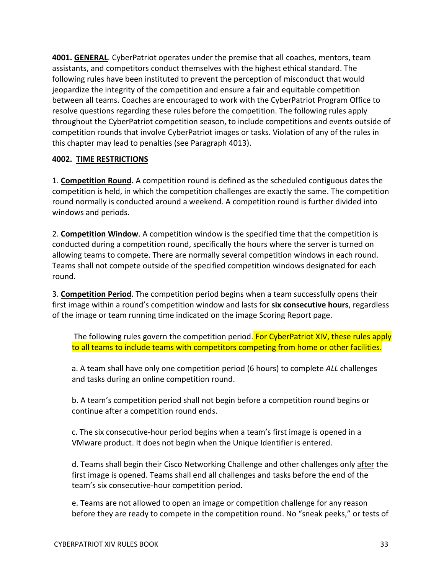**4001. GENERAL**. CyberPatriot operates under the premise that all coaches, mentors, team assistants, and competitors conduct themselves with the highest ethical standard. The following rules have been instituted to prevent the perception of misconduct that would jeopardize the integrity of the competition and ensure a fair and equitable competition between all teams. Coaches are encouraged to work with the CyberPatriot Program Office to resolve questions regarding these rules before the competition. The following rules apply throughout the CyberPatriot competition season, to include competitions and events outside of competition rounds that involve CyberPatriot images or tasks. Violation of any of the rules in this chapter may lead to penalties (see Paragraph 4013).

## **4002. TIME RESTRICTIONS**

1. **Competition Round.** A competition round is defined as the scheduled contiguous dates the competition is held, in which the competition challenges are exactly the same. The competition round normally is conducted around a weekend. A competition round is further divided into windows and periods.

2. **Competition Window**. A competition window is the specified time that the competition is conducted during a competition round, specifically the hours where the server is turned on allowing teams to compete. There are normally several competition windows in each round. Teams shall not compete outside of the specified competition windows designated for each round.

3. **Competition Period**. The competition period begins when a team successfully opens their first image within a round's competition window and lasts for **six consecutive hours**, regardless of the image or team running time indicated on the image Scoring Report page.

The following rules govern the competition period. For CyberPatriot XIV, these rules apply to all teams to include teams with competitors competing from home or other facilities.

a. A team shall have only one competition period (6 hours) to complete *ALL* challenges and tasks during an online competition round.

b. A team's competition period shall not begin before a competition round begins or continue after a competition round ends.

c. The six consecutive-hour period begins when a team's first image is opened in a VMware product. It does not begin when the Unique Identifier is entered.

d. Teams shall begin their Cisco Networking Challenge and other challenges only after the first image is opened. Teams shall end all challenges and tasks before the end of the team's six consecutive-hour competition period.

e. Teams are not allowed to open an image or competition challenge for any reason before they are ready to compete in the competition round. No "sneak peeks," or tests of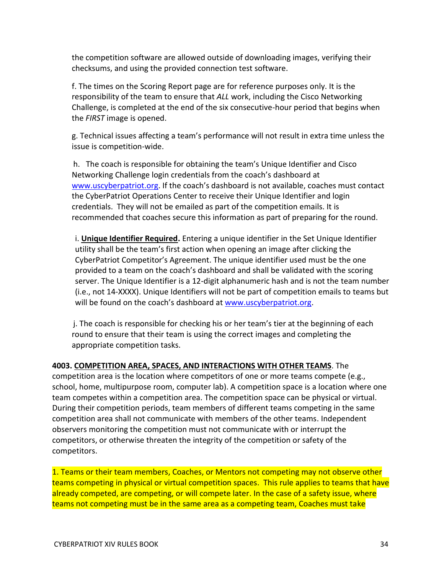the competition software are allowed outside of downloading images, verifying their checksums, and using the provided connection test software.

f. The times on the Scoring Report page are for reference purposes only. It is the responsibility of the team to ensure that *ALL* work, including the Cisco Networking Challenge, is completed at the end of the six consecutive-hour period that begins when the *FIRST* image is opened.

g. Technical issues affecting a team's performance will not result in extra time unless the issue is competition-wide.

 h. The coach is responsible for obtaining the team's Unique Identifier and Cisco Networking Challenge login credentials from the coach's dashboard at [www.uscyberpatriot.org.](http://www.uscyberpatriot.org/) If the coach's dashboard is not available, coaches must contact the CyberPatriot Operations Center to receive their Unique Identifier and login credentials. They will not be emailed as part of the competition emails. It is recommended that coaches secure this information as part of preparing for the round.

i. **Unique Identifier Required.** Entering a unique identifier in the Set Unique Identifier utility shall be the team's first action when opening an image after clicking the CyberPatriot Competitor's Agreement. The unique identifier used must be the one provided to a team on the coach's dashboard and shall be validated with the scoring server. The Unique Identifier is a 12-digit alphanumeric hash and is not the team number (i.e., not 14-XXXX). Unique Identifiers will not be part of competition emails to teams but will be found on the coach's dashboard at [www.uscyberpatriot.org.](http://www.uscyberpatriot.org/)

 j. The coach is responsible for checking his or her team's tier at the beginning of each round to ensure that their team is using the correct images and completing the appropriate competition tasks.

**4003. COMPETITION AREA, SPACES, AND INTERACTIONS WITH OTHER TEAMS**. The competition area is the location where competitors of one or more teams compete (e.g., school, home, multipurpose room, computer lab). A competition space is a location where one team competes within a competition area. The competition space can be physical or virtual. During their competition periods, team members of different teams competing in the same competition area shall not communicate with members of the other teams. Independent observers monitoring the competition must not communicate with or interrupt the competitors, or otherwise threaten the integrity of the competition or safety of the competitors.

1. Teams or their team members, Coaches, or Mentors not competing may not observe other teams competing in physical or virtual competition spaces. This rule applies to teams that have already competed, are competing, or will compete later. In the case of a safety issue, where teams not competing must be in the same area as a competing team, Coaches must take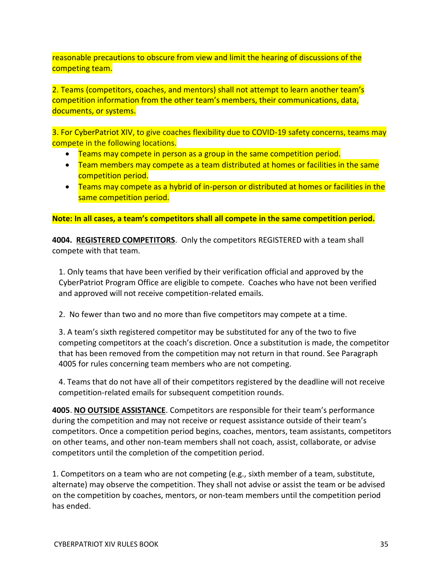reasonable precautions to obscure from view and limit the hearing of discussions of the competing team.

2. Teams (competitors, coaches, and mentors) shall not attempt to learn another team's competition information from the other team's members, their communications, data, documents, or systems.

3. For CyberPatriot XIV, to give coaches flexibility due to COVID-19 safety concerns, teams may compete in the following locations.

- Teams may compete in person as a group in the same competition period.
- Team members may compete as a team distributed at homes or facilities in the same competition period.
- Teams may compete as a hybrid of in-person or distributed at homes or facilities in the same competition period.

**Note: In all cases, a team's competitors shall all compete in the same competition period.**

**4004. REGISTERED COMPETITORS**. Only the competitors REGISTERED with a team shall compete with that team.

1. Only teams that have been verified by their verification official and approved by the CyberPatriot Program Office are eligible to compete. Coaches who have not been verified and approved will not receive competition-related emails.

2. No fewer than two and no more than five competitors may compete at a time.

3. A team's sixth registered competitor may be substituted for any of the two to five competing competitors at the coach's discretion. Once a substitution is made, the competitor that has been removed from the competition may not return in that round. See Paragraph 4005 for rules concerning team members who are not competing.

4. Teams that do not have all of their competitors registered by the deadline will not receive competition-related emails for subsequent competition rounds.

**4005**. **NO OUTSIDE ASSISTANCE**. Competitors are responsible for their team's performance during the competition and may not receive or request assistance outside of their team's competitors. Once a competition period begins, coaches, mentors, team assistants, competitors on other teams, and other non-team members shall not coach, assist, collaborate, or advise competitors until the completion of the competition period.

1. Competitors on a team who are not competing (e.g., sixth member of a team, substitute, alternate) may observe the competition. They shall not advise or assist the team or be advised on the competition by coaches, mentors, or non-team members until the competition period has ended.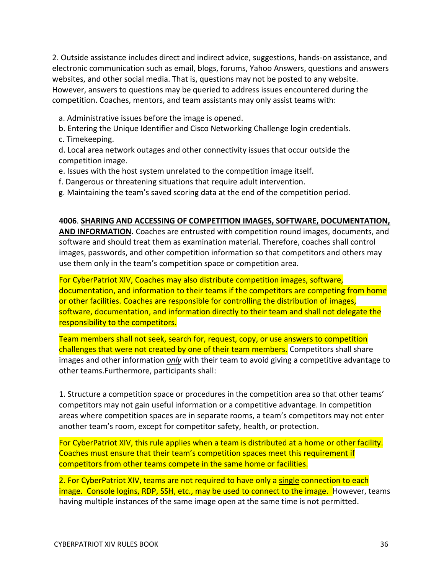2. Outside assistance includes direct and indirect advice, suggestions, hands-on assistance, and electronic communication such as email, blogs, forums, Yahoo Answers, questions and answers websites, and other social media. That is, questions may not be posted to any website. However, answers to questions may be queried to address issues encountered during the competition. Coaches, mentors, and team assistants may only assist teams with:

- a. Administrative issues before the image is opened.
- b. Entering the Unique Identifier and Cisco Networking Challenge login credentials.
- c. Timekeeping.

d. Local area network outages and other connectivity issues that occur outside the competition image.

- e. Issues with the host system unrelated to the competition image itself.
- f. Dangerous or threatening situations that require adult intervention.
- g. Maintaining the team's saved scoring data at the end of the competition period.

#### **4006**. **SHARING AND ACCESSING OF COMPETITION IMAGES, SOFTWARE, DOCUMENTATION,**

**AND INFORMATION.** Coaches are entrusted with competition round images, documents, and software and should treat them as examination material. Therefore, coaches shall control images, passwords, and other competition information so that competitors and others may use them only in the team's competition space or competition area.

For CyberPatriot XIV, Coaches may also distribute competition images, software, documentation, and information to their teams if the competitors are competing from home or other facilities. Coaches are responsible for controlling the distribution of images, software, documentation, and information directly to their team and shall not delegate the responsibility to the competitors.

Team members shall not seek, search for, request, copy, or use answers to competition challenges that were not created by one of their team members. Competitors shall share images and other information *only* with their team to avoid giving a competitive advantage to other teams.Furthermore, participants shall:

1. Structure a competition space or procedures in the competition area so that other teams' competitors may not gain useful information or a competitive advantage. In competition areas where competition spaces are in separate rooms, a team's competitors may not enter another team's room, except for competitor safety, health, or protection.

For CyberPatriot XIV, this rule applies when a team is distributed at a home or other facility. Coaches must ensure that their team's competition spaces meet this requirement if competitors from other teams compete in the same home or facilities.

2. For CyberPatriot XIV, teams are not required to have only a single connection to each image. Console logins, RDP, SSH, etc., may be used to connect to the image. However, teams having multiple instances of the same image open at the same time is not permitted.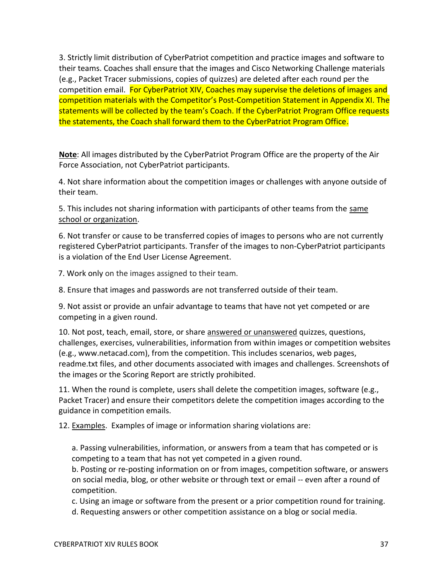3. Strictly limit distribution of CyberPatriot competition and practice images and software to their teams. Coaches shall ensure that the images and Cisco Networking Challenge materials (e.g., Packet Tracer submissions, copies of quizzes) are deleted after each round per the competition email. For CyberPatriot XIV, Coaches may supervise the deletions of images and competition materials with the Competitor's Post-Competition Statement in Appendix XI. The statements will be collected by the team's Coach. If the CyberPatriot Program Office requests the statements, the Coach shall forward them to the CyberPatriot Program Office.

**Note**: All images distributed by the CyberPatriot Program Office are the property of the Air Force Association, not CyberPatriot participants.

4. Not share information about the competition images or challenges with anyone outside of their team.

5. This includes not sharing information with participants of other teams from the same school or organization.

6. Not transfer or cause to be transferred copies of images to persons who are not currently registered CyberPatriot participants. Transfer of the images to non-CyberPatriot participants is a violation of the End User License Agreement.

7. Work only on the images assigned to their team.

8. Ensure that images and passwords are not transferred outside of their team.

9. Not assist or provide an unfair advantage to teams that have not yet competed or are competing in a given round.

10. Not post, teach, email, store, or share answered or unanswered quizzes, questions, challenges, exercises, vulnerabilities, information from within images or competition websites (e.g., www.netacad.com), from the competition. This includes scenarios, web pages, readme.txt files, and other documents associated with images and challenges. Screenshots of the images or the Scoring Report are strictly prohibited.

11. When the round is complete, users shall delete the competition images, software (e.g., Packet Tracer) and ensure their competitors delete the competition images according to the guidance in competition emails.

12. Examples. Examples of image or information sharing violations are:

a. Passing vulnerabilities, information, or answers from a team that has competed or is competing to a team that has not yet competed in a given round.

b. Posting or re-posting information on or from images, competition software, or answers on social media, blog, or other website or through text or email -- even after a round of competition.

c. Using an image or software from the present or a prior competition round for training.

d. Requesting answers or other competition assistance on a blog or social media.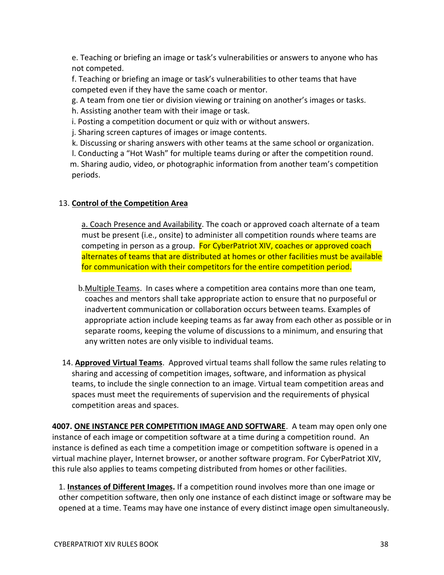e. Teaching or briefing an image or task's vulnerabilities or answers to anyone who has not competed.

f. Teaching or briefing an image or task's vulnerabilities to other teams that have competed even if they have the same coach or mentor.

g. A team from one tier or division viewing or training on another's images or tasks.

h. Assisting another team with their image or task.

i. Posting a competition document or quiz with or without answers.

j. Sharing screen captures of images or image contents.

k. Discussing or sharing answers with other teams at the same school or organization.

 l. Conducting a "Hot Wash" for multiple teams during or after the competition round. m. Sharing audio, video, or photographic information from another team's competition periods.

## 13. **Control of the Competition Area**

a. Coach Presence and Availability. The coach or approved coach alternate of a team must be present (i.e., onsite) to administer all competition rounds where teams are competing in person as a group. For CyberPatriot XIV, coaches or approved coach alternates of teams that are distributed at homes or other facilities must be available for communication with their competitors for the entire competition period.

- b.Multiple Teams. In cases where a competition area contains more than one team, coaches and mentors shall take appropriate action to ensure that no purposeful or inadvertent communication or collaboration occurs between teams. Examples of appropriate action include keeping teams as far away from each other as possible or in separate rooms, keeping the volume of discussions to a minimum, and ensuring that any written notes are only visible to individual teams.
- 14. **Approved Virtual Teams**. Approved virtual teams shall follow the same rules relating to sharing and accessing of competition images, software, and information as physical teams, to include the single connection to an image. Virtual team competition areas and spaces must meet the requirements of supervision and the requirements of physical competition areas and spaces.

**4007. ONE INSTANCE PER COMPETITION IMAGE AND SOFTWARE**. A team may open only one instance of each image or competition software at a time during a competition round. An instance is defined as each time a competition image or competition software is opened in a virtual machine player, Internet browser, or another software program. For CyberPatriot XIV, this rule also applies to teams competing distributed from homes or other facilities.

1. **Instances of Different Images.** If a competition round involves more than one image or other competition software, then only one instance of each distinct image or software may be opened at a time. Teams may have one instance of every distinct image open simultaneously.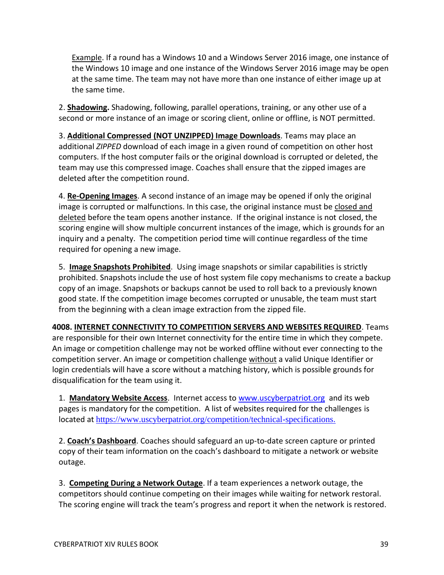Example. If a round has a Windows 10 and a Windows Server 2016 image, one instance of the Windows 10 image and one instance of the Windows Server 2016 image may be open at the same time. The team may not have more than one instance of either image up at the same time.

2. **Shadowing.** Shadowing, following, parallel operations, training, or any other use of a second or more instance of an image or scoring client, online or offline, is NOT permitted.

3. **Additional Compressed (NOT UNZIPPED) Image Downloads**. Teams may place an additional *ZIPPED* download of each image in a given round of competition on other host computers. If the host computer fails or the original download is corrupted or deleted, the team may use this compressed image. Coaches shall ensure that the zipped images are deleted after the competition round.

4. **Re-Opening Images**. A second instance of an image may be opened if only the original image is corrupted or malfunctions. In this case, the original instance must be closed and deleted before the team opens another instance. If the original instance is not closed, the scoring engine will show multiple concurrent instances of the image, which is grounds for an inquiry and a penalty. The competition period time will continue regardless of the time required for opening a new image.

5. **Image Snapshots Prohibited**. Using image snapshots or similar capabilities is strictly prohibited. Snapshots include the use of host system file copy mechanisms to create a backup copy of an image. Snapshots or backups cannot be used to roll back to a previously known good state. If the competition image becomes corrupted or unusable, the team must start from the beginning with a clean image extraction from the zipped file.

**4008. INTERNET CONNECTIVITY TO COMPETITION SERVERS AND WEBSITES REQUIRED**. Teams are responsible for their own Internet connectivity for the entire time in which they compete. An image or competition challenge may not be worked offline without ever connecting to the competition server. An image or competition challenge without a valid Unique Identifier or login credentials will have a score without a matching history, which is possible grounds for disqualification for the team using it.

1. **Mandatory Website Access**. Internet access to [www.uscyberpatriot.org](http://www.uscyberpatriot.org/) and its web pages is mandatory for the competition. A list of websites required for the challenges is located at <https://www.uscyberpatriot.org/competition/technical-specifications>.

2. **Coach's Dashboard**. Coaches should safeguard an up-to-date screen capture or printed copy of their team information on the coach's dashboard to mitigate a network or website outage.

3. **Competing During a Network Outage**. If a team experiences a network outage, the competitors should continue competing on their images while waiting for network restoral. The scoring engine will track the team's progress and report it when the network is restored.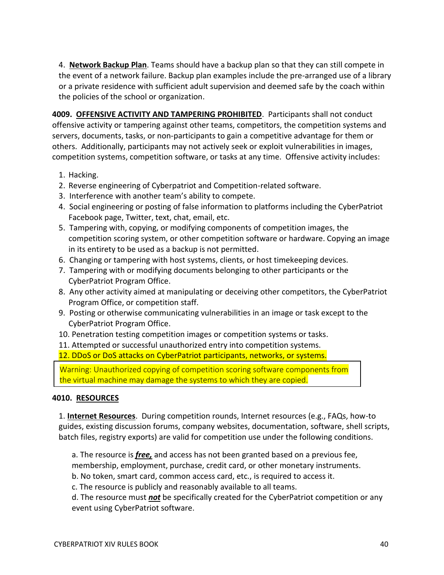4. **Network Backup Plan**. Teams should have a backup plan so that they can still compete in the event of a network failure. Backup plan examples include the pre-arranged use of a library or a private residence with sufficient adult supervision and deemed safe by the coach within the policies of the school or organization.

**4009. OFFENSIVE ACTIVITY AND TAMPERING PROHIBITED**. Participants shall not conduct offensive activity or tampering against other teams, competitors, the competition systems and servers, documents, tasks, or non-participants to gain a competitive advantage for them or others. Additionally, participants may not actively seek or exploit vulnerabilities in images, competition systems, competition software, or tasks at any time. Offensive activity includes:

- 1. Hacking.
- 2. Reverse engineering of Cyberpatriot and Competition-related software.
- 3. Interference with another team's ability to compete.
- 4. Social engineering or posting of false information to platforms including the CyberPatriot Facebook page, Twitter, text, chat, email, etc.
- 5. Tampering with, copying, or modifying components of competition images, the competition scoring system, or other competition software or hardware. Copying an image in its entirety to be used as a backup is not permitted.
- 6. Changing or tampering with host systems, clients, or host timekeeping devices.
- 7. Tampering with or modifying documents belonging to other participants or the CyberPatriot Program Office.
- 8. Any other activity aimed at manipulating or deceiving other competitors, the CyberPatriot Program Office, or competition staff.
- 9. Posting or otherwise communicating vulnerabilities in an image or task except to the CyberPatriot Program Office.
- 10. Penetration testing competition images or competition systems or tasks.

11. Attempted or successful unauthorized entry into competition systems.

12. DDoS or DoS attacks on CyberPatriot participants, networks, or systems.

Warning: Unauthorized copying of competition scoring software components from the virtual machine may damage the systems to which they are copied.

### **4010. RESOURCES**

1. **Internet Resources**. During competition rounds, Internet resources (e.g., FAQs, how-to guides, existing discussion forums, company websites, documentation, software, shell scripts, batch files, registry exports) are valid for competition use under the following conditions.

a. The resource is *free,* and access has not been granted based on a previous fee, membership, employment, purchase, credit card, or other monetary instruments.

b. No token, smart card, common access card, etc., is required to access it.

c. The resource is publicly and reasonably available to all teams.

d. The resource must *not* be specifically created for the CyberPatriot competition or any event using CyberPatriot software.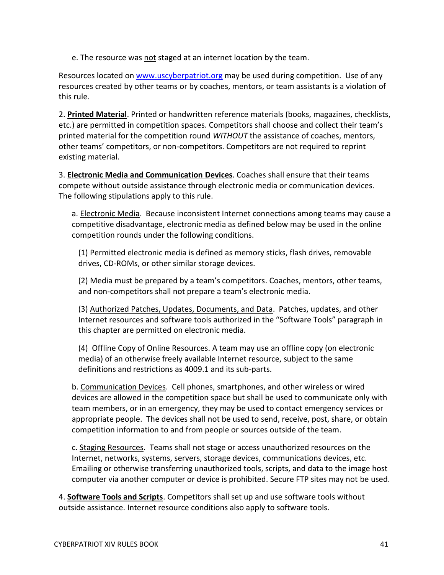e. The resource was not staged at an internet location by the team.

Resources located o[n www.uscyberpatriot.org](http://www.uscyberpatriot.org/) may be used during competition. Use of any resources created by other teams or by coaches, mentors, or team assistants is a violation of this rule.

2. **Printed Material**. Printed or handwritten reference materials (books, magazines, checklists, etc.) are permitted in competition spaces. Competitors shall choose and collect their team's printed material for the competition round *WITHOUT* the assistance of coaches, mentors, other teams' competitors, or non-competitors. Competitors are not required to reprint existing material.

3. **Electronic Media and Communication Devices**. Coaches shall ensure that their teams compete without outside assistance through electronic media or communication devices. The following stipulations apply to this rule.

a. Electronic Media. Because inconsistent Internet connections among teams may cause a competitive disadvantage, electronic media as defined below may be used in the online competition rounds under the following conditions.

(1) Permitted electronic media is defined as memory sticks, flash drives, removable drives, CD-ROMs, or other similar storage devices.

(2) Media must be prepared by a team's competitors. Coaches, mentors, other teams, and non-competitors shall not prepare a team's electronic media.

(3) Authorized Patches, Updates, Documents, and Data. Patches, updates, and other Internet resources and software tools authorized in the "Software Tools" paragraph in this chapter are permitted on electronic media.

(4) Offline Copy of Online Resources. A team may use an offline copy (on electronic media) of an otherwise freely available Internet resource, subject to the same definitions and restrictions as 4009.1 and its sub-parts.

b. Communication Devices. Cell phones, smartphones, and other wireless or wired devices are allowed in the competition space but shall be used to communicate only with team members, or in an emergency, they may be used to contact emergency services or appropriate people. The devices shall not be used to send, receive, post, share, or obtain competition information to and from people or sources outside of the team.

c. Staging Resources. Teams shall not stage or access unauthorized resources on the Internet, networks, systems, servers, storage devices, communications devices, etc. Emailing or otherwise transferring unauthorized tools, scripts, and data to the image host computer via another computer or device is prohibited. Secure FTP sites may not be used.

4. **Software Tools and Scripts**. Competitors shall set up and use software tools without outside assistance. Internet resource conditions also apply to software tools.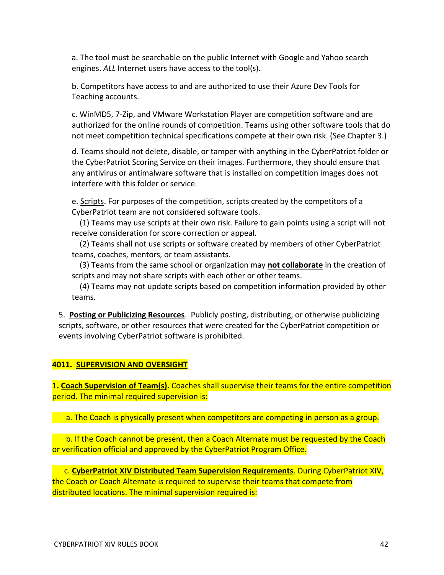a. The tool must be searchable on the public Internet with Google and Yahoo search engines. *ALL* Internet users have access to the tool(s).

b. Competitors have access to and are authorized to use their Azure Dev Tools for Teaching accounts.

c. WinMD5, 7-Zip, and VMware Workstation Player are competition software and are authorized for the online rounds of competition. Teams using other software tools that do not meet competition technical specifications compete at their own risk. (See Chapter 3.)

d. Teams should not delete, disable, or tamper with anything in the CyberPatriot folder or the CyberPatriot Scoring Service on their images. Furthermore, they should ensure that any antivirus or antimalware software that is installed on competition images does not interfere with this folder or service.

e. Scripts. For purposes of the competition, scripts created by the competitors of a CyberPatriot team are not considered software tools.

 (1) Teams may use scripts at their own risk. Failure to gain points using a script will not receive consideration for score correction or appeal.

 (2) Teams shall not use scripts or software created by members of other CyberPatriot teams, coaches, mentors, or team assistants.

 (3) Teams from the same school or organization may **not collaborate** in the creation of scripts and may not share scripts with each other or other teams.

 (4) Teams may not update scripts based on competition information provided by other teams.

5. **Posting or Publicizing Resources**. Publicly posting, distributing, or otherwise publicizing scripts, software, or other resources that were created for the CyberPatriot competition or events involving CyberPatriot software is prohibited.

### **4011. SUPERVISION AND OVERSIGHT**

1**. Coach Supervision of Team(s).** Coaches shall supervise their teams for the entire competition period. The minimal required supervision is:

a. The Coach is physically present when competitors are competing in person as a group.

 b. If the Coach cannot be present, then a Coach Alternate must be requested by the Coach or verification official and approved by the CyberPatriot Program Office.

 c. **CyberPatriot XIV Distributed Team Supervision Requirements**. During CyberPatriot XIV, the Coach or Coach Alternate is required to supervise their teams that compete from distributed locations. The minimal supervision required is: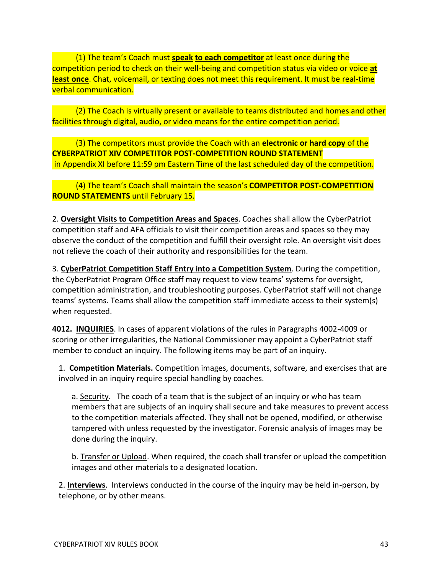(1) The team's Coach must **speak to each competitor** at least once during the competition period to check on their well-being and competition status via video or voice **at least once**. Chat, voicemail, or texting does not meet this requirement. It must be real-time verbal communication.

 (2) The Coach is virtually present or available to teams distributed and homes and other facilities through digital, audio, or video means for the entire competition period.

 (3) The competitors must provide the Coach with an **electronic or hard copy** of the **CYBERPATRIOT XIV COMPETITOR POST-COMPETITION ROUND STATEMENT** in Appendix XI before 11:59 pm Eastern Time of the last scheduled day of the competition.

## (4) The team's Coach shall maintain the season's **COMPETITOR POST-COMPETITION ROUND STATEMENTS** until February 15.

2. **Oversight Visits to Competition Areas and Spaces**. Coaches shall allow the CyberPatriot competition staff and AFA officials to visit their competition areas and spaces so they may observe the conduct of the competition and fulfill their oversight role. An oversight visit does not relieve the coach of their authority and responsibilities for the team.

3. **CyberPatriot Competition Staff Entry into a Competition System**. During the competition, the CyberPatriot Program Office staff may request to view teams' systems for oversight, competition administration, and troubleshooting purposes. CyberPatriot staff will not change teams' systems. Teams shall allow the competition staff immediate access to their system(s) when requested.

**4012. INQUIRIES**. In cases of apparent violations of the rules in Paragraphs 4002-4009 or scoring or other irregularities, the National Commissioner may appoint a CyberPatriot staff member to conduct an inquiry. The following items may be part of an inquiry.

1. **Competition Materials.** Competition images, documents, software, and exercises that are involved in an inquiry require special handling by coaches.

a. Security. The coach of a team that is the subject of an inquiry or who has team members that are subjects of an inquiry shall secure and take measures to prevent access to the competition materials affected. They shall not be opened, modified, or otherwise tampered with unless requested by the investigator. Forensic analysis of images may be done during the inquiry.

b. Transfer or Upload. When required, the coach shall transfer or upload the competition images and other materials to a designated location.

2. **Interviews**. Interviews conducted in the course of the inquiry may be held in-person, by telephone, or by other means.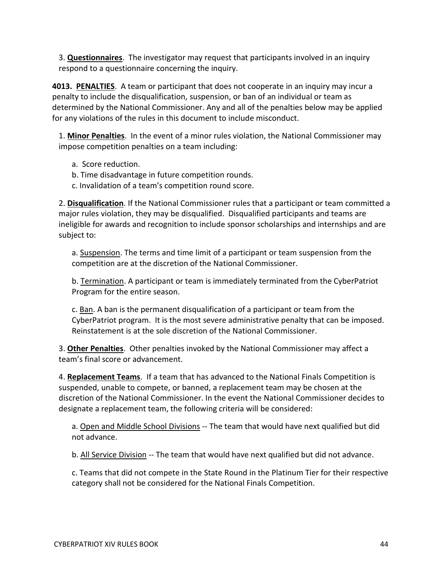3. **Questionnaires**. The investigator may request that participants involved in an inquiry respond to a questionnaire concerning the inquiry.

**4013. PENALTIES**. A team or participant that does not cooperate in an inquiry may incur a penalty to include the disqualification, suspension, or ban of an individual or team as determined by the National Commissioner. Any and all of the penalties below may be applied for any violations of the rules in this document to include misconduct.

1. **Minor Penalties**. In the event of a minor rules violation, the National Commissioner may impose competition penalties on a team including:

- a. Score reduction.
- b. Time disadvantage in future competition rounds.
- c. Invalidation of a team's competition round score.

2. **Disqualification**. If the National Commissioner rules that a participant or team committed a major rules violation, they may be disqualified. Disqualified participants and teams are ineligible for awards and recognition to include sponsor scholarships and internships and are subject to:

a. Suspension. The terms and time limit of a participant or team suspension from the competition are at the discretion of the National Commissioner.

b. Termination. A participant or team is immediately terminated from the CyberPatriot Program for the entire season.

c. Ban. A ban is the permanent disqualification of a participant or team from the CyberPatriot program. It is the most severe administrative penalty that can be imposed. Reinstatement is at the sole discretion of the National Commissioner.

3. **Other Penalties**. Other penalties invoked by the National Commissioner may affect a team's final score or advancement.

4. **Replacement Teams**. If a team that has advanced to the National Finals Competition is suspended, unable to compete, or banned, a replacement team may be chosen at the discretion of the National Commissioner. In the event the National Commissioner decides to designate a replacement team, the following criteria will be considered:

a. Open and Middle School Divisions -- The team that would have next qualified but did not advance.

b. All Service Division -- The team that would have next qualified but did not advance.

c. Teams that did not compete in the State Round in the Platinum Tier for their respective category shall not be considered for the National Finals Competition.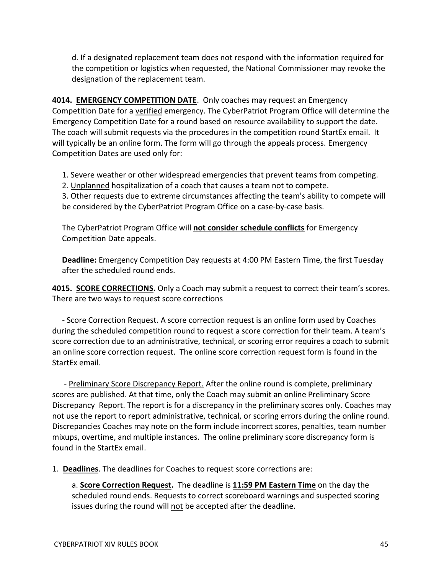d. If a designated replacement team does not respond with the information required for the competition or logistics when requested, the National Commissioner may revoke the designation of the replacement team.

**4014. EMERGENCY COMPETITION DATE**. Only coaches may request an Emergency Competition Date for a verified emergency. The CyberPatriot Program Office will determine the Emergency Competition Date for a round based on resource availability to support the date. The coach will submit requests via the procedures in the competition round StartEx email. It will typically be an online form. The form will go through the appeals process. Emergency Competition Dates are used only for:

1. Severe weather or other widespread emergencies that prevent teams from competing.

2. Unplanned hospitalization of a coach that causes a team not to compete.

3. Other requests due to extreme circumstances affecting the team's ability to compete will be considered by the CyberPatriot Program Office on a case-by-case basis.

The CyberPatriot Program Office will **not consider schedule conflicts** for Emergency Competition Date appeals.

**Deadline:** Emergency Competition Day requests at 4:00 PM Eastern Time, the first Tuesday after the scheduled round ends.

**4015. SCORE CORRECTIONS.** Only a Coach may submit a request to correct their team's scores. There are two ways to request score corrections

 - Score Correction Request. A score correction request is an online form used by Coaches during the scheduled competition round to request a score correction for their team. A team's score correction due to an administrative, technical, or scoring error requires a coach to submit an online score correction request. The online score correction request form is found in the StartEx email.

 - Preliminary Score Discrepancy Report. After the online round is complete, preliminary scores are published. At that time, only the Coach may submit an online Preliminary Score Discrepancy Report. The report is for a discrepancy in the preliminary scores only. Coaches may not use the report to report administrative, technical, or scoring errors during the online round. Discrepancies Coaches may note on the form include incorrect scores, penalties, team number mixups, overtime, and multiple instances. The online preliminary score discrepancy form is found in the StartEx email.

1. **Deadlines**. The deadlines for Coaches to request score corrections are:

a. **Score Correction Request.** The deadline is **11:59 PM Eastern Time** on the day the scheduled round ends. Requests to correct scoreboard warnings and suspected scoring issues during the round will not be accepted after the deadline.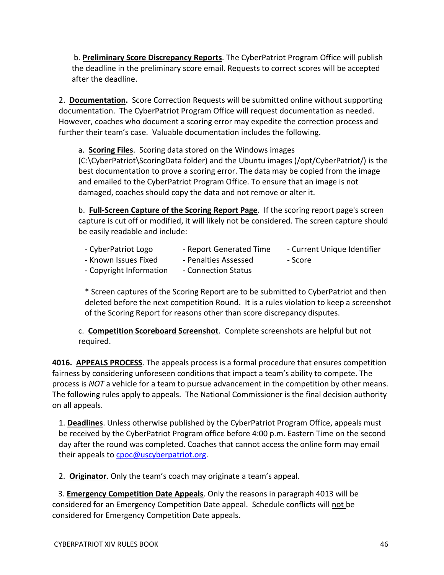b. **Preliminary Score Discrepancy Reports**. The CyberPatriot Program Office will publish the deadline in the preliminary score email. Requests to correct scores will be accepted after the deadline.

2. **Documentation.** Score Correction Requests will be submitted online without supporting documentation. The CyberPatriot Program Office will request documentation as needed. However, coaches who document a scoring error may expedite the correction process and further their team's case. Valuable documentation includes the following.

a. **Scoring Files**. Scoring data stored on the Windows images

(C:\CyberPatriot\ScoringData folder) and the Ubuntu images (/opt/CyberPatriot/) is the best documentation to prove a scoring error. The data may be copied from the image and emailed to the CyberPatriot Program Office. To ensure that an image is not damaged, coaches should copy the data and not remove or alter it.

b. **Full-Screen Capture of the Scoring Report Page**. If the scoring report page's screen capture is cut off or modified, it will likely not be considered. The screen capture should be easily readable and include:

- CyberPatriot Logo Fall report Generated Time Current Unique Identifier
- Known Issues Fixed Penalties Assessed Score
	-
- 
- Copyright Information Connection Status

\* Screen captures of the Scoring Report are to be submitted to CyberPatriot and then deleted before the next competition Round. It is a rules violation to keep a screenshot of the Scoring Report for reasons other than score discrepancy disputes.

c. **Competition Scoreboard Screenshot**.Complete screenshots are helpful but not required.

**4016. APPEALS PROCESS**. The appeals process is a formal procedure that ensures competition fairness by considering unforeseen conditions that impact a team's ability to compete. The process is *NOT* a vehicle for a team to pursue advancement in the competition by other means. The following rules apply to appeals. The National Commissioner is the final decision authority on all appeals.

1. **Deadlines**. Unless otherwise published by the CyberPatriot Program Office, appeals must be received by the CyberPatriot Program office before 4:00 p.m. Eastern Time on the second day after the round was completed. Coaches that cannot access the online form may email their appeals to [cpoc@uscyberpatriot.org.](mailto:cpoc@uscyberpatriot.org)

2. **Originator**. Only the team's coach may originate a team's appeal.

 3. **Emergency Competition Date Appeals**. Only the reasons in paragraph 4013 will be considered for an Emergency Competition Date appeal. Schedule conflicts will not be considered for Emergency Competition Date appeals.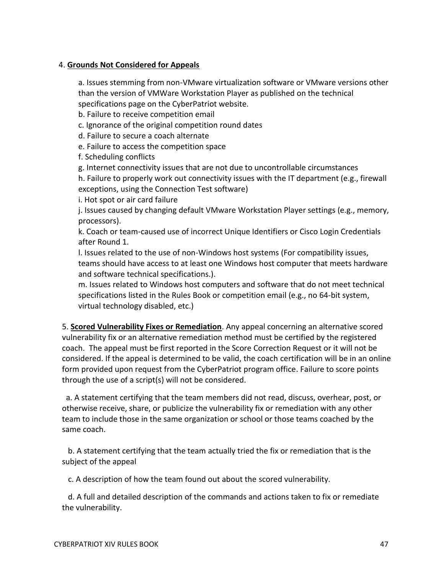## 4. **Grounds Not Considered for Appeals**

a. Issues stemming from non-VMware virtualization software or VMware versions other than the version of VMWare Workstation Player as published on the technical specifications page on the CyberPatriot website.

b. Failure to receive competition email

c. Ignorance of the original competition round dates

d. Failure to secure a coach alternate

e. Failure to access the competition space

f. Scheduling conflicts

g. Internet connectivity issues that are not due to uncontrollable circumstances

h. Failure to properly work out connectivity issues with the IT department (e.g., firewall exceptions, using the Connection Test software)

i. Hot spot or air card failure

j. Issues caused by changing default VMware Workstation Player settings (e.g., memory, processors).

k. Coach or team-caused use of incorrect Unique Identifiers or Cisco Login Credentials after Round 1.

l. Issues related to the use of non-Windows host systems (For compatibility issues, teams should have access to at least one Windows host computer that meets hardware and software technical specifications.).

m. Issues related to Windows host computers and software that do not meet technical specifications listed in the Rules Book or competition email (e.g., no 64-bit system, virtual technology disabled, etc.)

5. **Scored Vulnerability Fixes or Remediation**. Any appeal concerning an alternative scored vulnerability fix or an alternative remediation method must be certified by the registered coach. The appeal must be first reported in the Score Correction Request or it will not be considered. If the appeal is determined to be valid, the coach certification will be in an online form provided upon request from the CyberPatriot program office. Failure to score points through the use of a script(s) will not be considered.

 a. A statement certifying that the team members did not read, discuss, overhear, post, or otherwise receive, share, or publicize the vulnerability fix or remediation with any other team to include those in the same organization or school or those teams coached by the same coach.

 b. A statement certifying that the team actually tried the fix or remediation that is the subject of the appeal

c. A description of how the team found out about the scored vulnerability.

 d. A full and detailed description of the commands and actions taken to fix or remediate the vulnerability.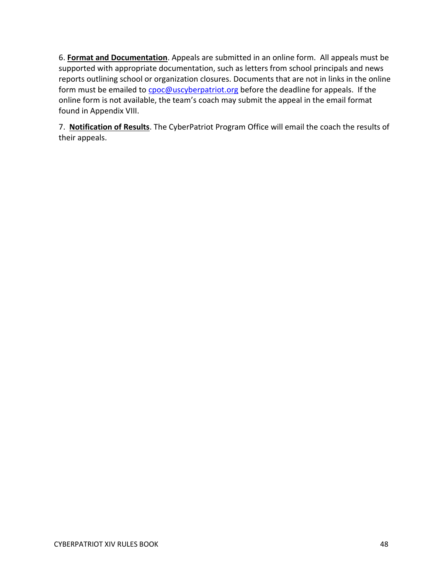6. **Format and Documentation**. Appeals are submitted in an online form. All appeals must be supported with appropriate documentation, such as letters from school principals and news reports outlining school or organization closures. Documents that are not in links in the online form must be emailed to [cpoc@uscyberpatriot.org](mailto:cpoc@uscyberpatriot.org) before the deadline for appeals. If the online form is not available, the team's coach may submit the appeal in the email format found in Appendix VIII.

7. **Notification of Results**. The CyberPatriot Program Office will email the coach the results of their appeals.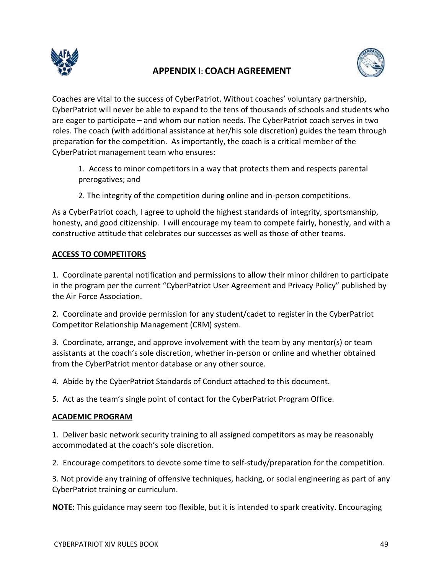

## **APPENDIX I: COACH AGREEMENT**



Coaches are vital to the success of CyberPatriot. Without coaches' voluntary partnership, CyberPatriot will never be able to expand to the tens of thousands of schools and students who are eager to participate – and whom our nation needs. The CyberPatriot coach serves in two roles. The coach (with additional assistance at her/his sole discretion) guides the team through preparation for the competition. As importantly, the coach is a critical member of the CyberPatriot management team who ensures:

1. Access to minor competitors in a way that protects them and respects parental prerogatives; and

2. The integrity of the competition during online and in-person competitions.

As a CyberPatriot coach, I agree to uphold the highest standards of integrity, sportsmanship, honesty, and good citizenship. I will encourage my team to compete fairly, honestly, and with a constructive attitude that celebrates our successes as well as those of other teams.

## **ACCESS TO COMPETITORS**

1. Coordinate parental notification and permissions to allow their minor children to participate in the program per the current "CyberPatriot User Agreement and Privacy Policy" published by the Air Force Association.

2. Coordinate and provide permission for any student/cadet to register in the CyberPatriot Competitor Relationship Management (CRM) system.

3. Coordinate, arrange, and approve involvement with the team by any mentor(s) or team assistants at the coach's sole discretion, whether in-person or online and whether obtained from the CyberPatriot mentor database or any other source.

4. Abide by the CyberPatriot Standards of Conduct attached to this document.

5. Act as the team's single point of contact for the CyberPatriot Program Office.

## **ACADEMIC PROGRAM**

1. Deliver basic network security training to all assigned competitors as may be reasonably accommodated at the coach's sole discretion.

2. Encourage competitors to devote some time to self-study/preparation for the competition.

3. Not provide any training of offensive techniques, hacking, or social engineering as part of any CyberPatriot training or curriculum.

**NOTE:** This guidance may seem too flexible, but it is intended to spark creativity. Encouraging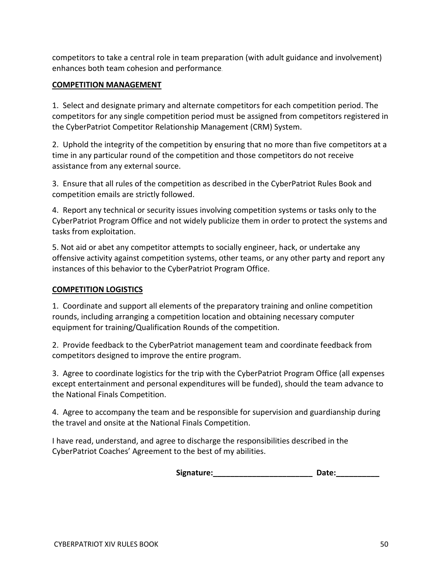competitors to take a central role in team preparation (with adult guidance and involvement) enhances both team cohesion and performance.

#### **COMPETITION MANAGEMENT**

1. Select and designate primary and alternate competitors for each competition period. The competitors for any single competition period must be assigned from competitors registered in the CyberPatriot Competitor Relationship Management (CRM) System.

2. Uphold the integrity of the competition by ensuring that no more than five competitors at a time in any particular round of the competition and those competitors do not receive assistance from any external source.

3. Ensure that all rules of the competition as described in the CyberPatriot Rules Book and competition emails are strictly followed.

4. Report any technical or security issues involving competition systems or tasks only to the CyberPatriot Program Office and not widely publicize them in order to protect the systems and tasks from exploitation.

5. Not aid or abet any competitor attempts to socially engineer, hack, or undertake any offensive activity against competition systems, other teams, or any other party and report any instances of this behavior to the CyberPatriot Program Office.

### **COMPETITION LOGISTICS**

1. Coordinate and support all elements of the preparatory training and online competition rounds, including arranging a competition location and obtaining necessary computer equipment for training/Qualification Rounds of the competition.

2. Provide feedback to the CyberPatriot management team and coordinate feedback from competitors designed to improve the entire program.

3. Agree to coordinate logistics for the trip with the CyberPatriot Program Office (all expenses except entertainment and personal expenditures will be funded), should the team advance to the National Finals Competition.

4. Agree to accompany the team and be responsible for supervision and guardianship during the travel and onsite at the National Finals Competition.

I have read, understand, and agree to discharge the responsibilities described in the CyberPatriot Coaches' Agreement to the best of my abilities.

Signature: The Contract of the Second Date: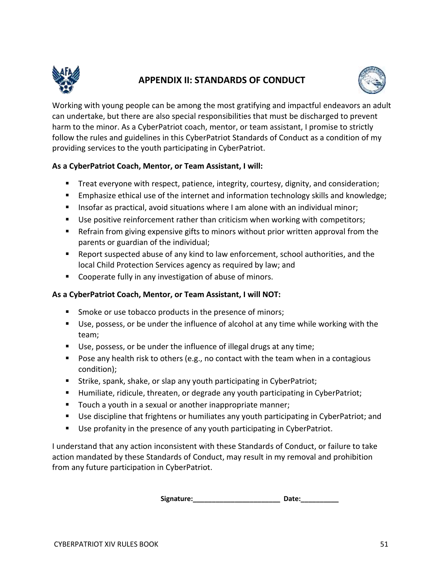

## **APPENDIX II: STANDARDS OF CONDUCT**



Working with young people can be among the most gratifying and impactful endeavors an adult can undertake, but there are also special responsibilities that must be discharged to prevent harm to the minor. As a CyberPatriot coach, mentor, or team assistant, I promise to strictly follow the rules and guidelines in this CyberPatriot Standards of Conduct as a condition of my providing services to the youth participating in CyberPatriot.

## **As a CyberPatriot Coach, Mentor, or Team Assistant, I will:**

- Treat everyone with respect, patience, integrity, courtesy, dignity, and consideration;
- Emphasize ethical use of the internet and information technology skills and knowledge;
- Insofar as practical, avoid situations where I am alone with an individual minor;
- Use positive reinforcement rather than criticism when working with competitors;
- Refrain from giving expensive gifts to minors without prior written approval from the parents or guardian of the individual;
- Report suspected abuse of any kind to law enforcement, school authorities, and the local Child Protection Services agency as required by law; and
- Cooperate fully in any investigation of abuse of minors.

## **As a CyberPatriot Coach, Mentor, or Team Assistant, I will NOT:**

- Smoke or use tobacco products in the presence of minors;
- Use, possess, or be under the influence of alcohol at any time while working with the team;
- Use, possess, or be under the influence of illegal drugs at any time;
- Pose any health risk to others (e.g., no contact with the team when in a contagious condition);
- Strike, spank, shake, or slap any youth participating in CyberPatriot;
- Humiliate, ridicule, threaten, or degrade any youth participating in CyberPatriot;
- Touch a youth in a sexual or another inappropriate manner;
- Use discipline that frightens or humiliates any youth participating in CyberPatriot; and
- Use profanity in the presence of any youth participating in CyberPatriot.

I understand that any action inconsistent with these Standards of Conduct, or failure to take action mandated by these Standards of Conduct, may result in my removal and prohibition from any future participation in CyberPatriot.

Signature: Date: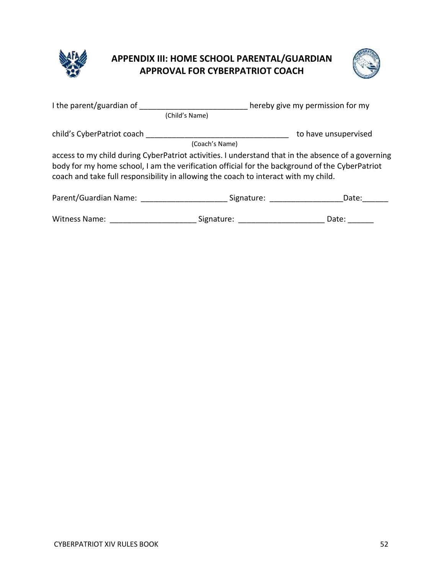

## **APPENDIX III: HOME SCHOOL PARENTAL/GUARDIAN APPROVAL FOR CYBERPATRIOT COACH**



| I the parent/guardian of                                                                                                                                                                                                                                                                    |                       | hereby give my permission for my |  |
|---------------------------------------------------------------------------------------------------------------------------------------------------------------------------------------------------------------------------------------------------------------------------------------------|-----------------------|----------------------------------|--|
|                                                                                                                                                                                                                                                                                             | (Child's Name)        |                                  |  |
| child's CyberPatriot coach                                                                                                                                                                                                                                                                  |                       | to have unsupervised             |  |
|                                                                                                                                                                                                                                                                                             | (Coach's Name)        |                                  |  |
| access to my child during CyberPatriot activities. I understand that in the absence of a governing<br>body for my home school, I am the verification official for the background of the CyberPatriot<br>coach and take full responsibility in allowing the coach to interact with my child. |                       |                                  |  |
| Parent/Guardian Name: Names                                                                                                                                                                                                                                                                 | Signature: Signature: | Date:                            |  |
| <b>Witness Name:</b>                                                                                                                                                                                                                                                                        | Signature:            | Date:                            |  |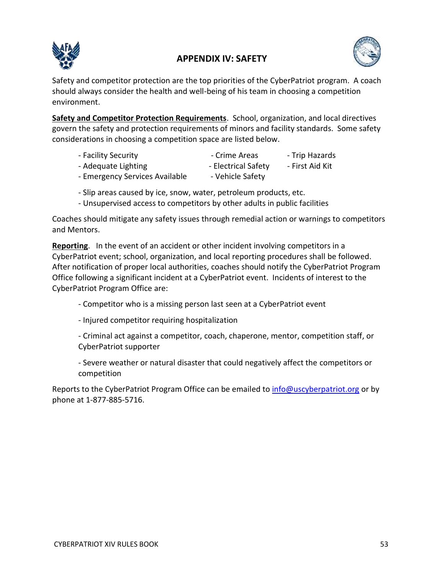

## **APPENDIX IV: SAFETY**



Safety and competitor protection are the top priorities of the CyberPatriot program. A coach should always consider the health and well-being of his team in choosing a competition environment.

**Safety and Competitor Protection Requirements**. School, organization, and local directives govern the safety and protection requirements of minors and facility standards. Some safety considerations in choosing a competition space are listed below.

- Facility Security **Facility Security** Crime Areas Trip Hazards
- Adequate Lighting The Clectrical Safety First Aid Kit
- 
- 
- Emergency Services Available Vehicle Safety
- Slip areas caused by ice, snow, water, petroleum products, etc.
- Unsupervised access to competitors by other adults in public facilities

Coaches should mitigate any safety issues through remedial action or warnings to competitors and Mentors.

**Reporting**. In the event of an accident or other incident involving competitors in a CyberPatriot event; school, organization, and local reporting procedures shall be followed. After notification of proper local authorities, coaches should notify the CyberPatriot Program Office following a significant incident at a CyberPatriot event. Incidents of interest to the CyberPatriot Program Office are:

- Competitor who is a missing person last seen at a CyberPatriot event
- Injured competitor requiring hospitalization

- Criminal act against a competitor, coach, chaperone, mentor, competition staff, or CyberPatriot supporter

- Severe weather or natural disaster that could negatively affect the competitors or competition

Reports to the CyberPatriot Program Office can be emailed to [info@uscyberpatriot.org](mailto:info@uscyberpatriot.org) or by phone at 1-877-885-5716.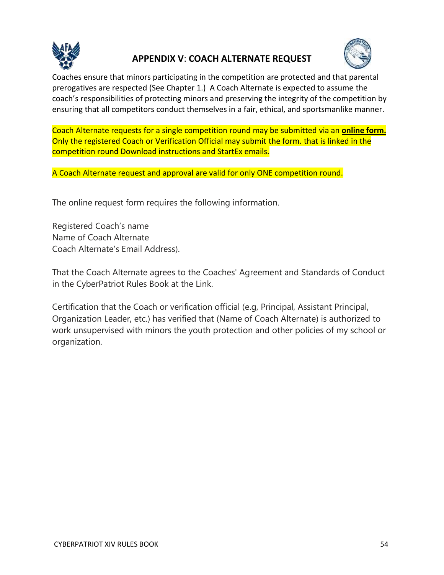

## **APPENDIX V**: **COACH ALTERNATE REQUEST**



Coaches ensure that minors participating in the competition are protected and that parental prerogatives are respected (See Chapter 1.) A Coach Alternate is expected to assume the coach's responsibilities of protecting minors and preserving the integrity of the competition by ensuring that all competitors conduct themselves in a fair, ethical, and sportsmanlike manner.

Coach Alternate requests for a single competition round may be submitted via an **online form.**  Only the registered Coach or Verification Official may submit the form. that is linked in the competition round Download instructions and StartEx emails.

A Coach Alternate request and approval are valid for only ONE competition round.

The online request form requires the following information.

Registered Coach's name Name of Coach Alternate Coach Alternate's Email Address).

That the Coach Alternate agrees to the Coaches' Agreement and Standards of Conduct in the CyberPatriot Rules Book at the Link.

Certification that the Coach or verification official (e.g, Principal, Assistant Principal, Organization Leader, etc.) has verified that (Name of Coach Alternate) is authorized to work unsupervised with minors the youth protection and other policies of my school or organization.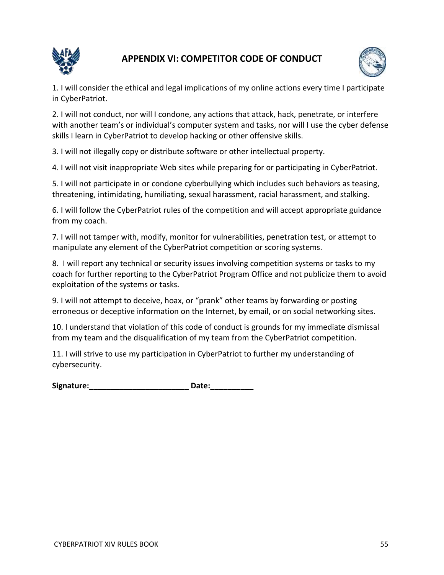

## **APPENDIX VI: COMPETITOR CODE OF CONDUCT**



1. I will consider the ethical and legal implications of my online actions every time I participate in CyberPatriot.

2. I will not conduct, nor will I condone, any actions that attack, hack, penetrate, or interfere with another team's or individual's computer system and tasks, nor will I use the cyber defense skills I learn in CyberPatriot to develop hacking or other offensive skills.

3. I will not illegally copy or distribute software or other intellectual property.

4. I will not visit inappropriate Web sites while preparing for or participating in CyberPatriot.

5. I will not participate in or condone cyberbullying which includes such behaviors as teasing, threatening, intimidating, humiliating, sexual harassment, racial harassment, and stalking.

6. I will follow the CyberPatriot rules of the competition and will accept appropriate guidance from my coach.

7. I will not tamper with, modify, monitor for vulnerabilities, penetration test, or attempt to manipulate any element of the CyberPatriot competition or scoring systems.

8. I will report any technical or security issues involving competition systems or tasks to my coach for further reporting to the CyberPatriot Program Office and not publicize them to avoid exploitation of the systems or tasks.

9. I will not attempt to deceive, hoax, or "prank" other teams by forwarding or posting erroneous or deceptive information on the Internet, by email, or on social networking sites.

10. I understand that violation of this code of conduct is grounds for my immediate dismissal from my team and the disqualification of my team from the CyberPatriot competition.

11. I will strive to use my participation in CyberPatriot to further my understanding of cybersecurity.

Signature: \_\_\_\_\_\_\_\_\_\_\_\_\_\_\_\_\_\_\_\_\_\_\_\_\_\_\_\_\_\_\_\_\_ Date: \_\_\_\_\_\_\_\_\_\_\_\_\_\_\_\_\_\_\_\_\_\_\_\_\_\_\_\_\_\_\_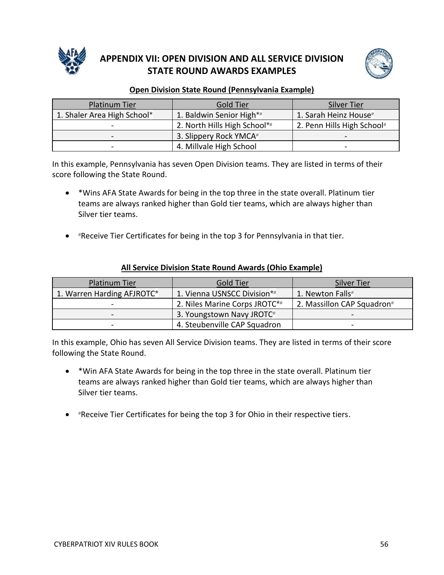

## **APPENDIX VII: OPEN DIVISION AND ALL SERVICE DIVISION STATE ROUND AWARDS EXAMPLES**



## **Open Division State Round (Pennsylvania Example)**

| Platinum Tier               | Gold Tier                    | <b>Silver Tier</b>         |
|-----------------------------|------------------------------|----------------------------|
| 1. Shaler Area High School* | 1. Baldwin Senior High*#     | 1. Sarah Heinz House#      |
|                             | 2. North Hills High School*# | 2. Penn Hills High School# |
| -                           | 3. Slippery Rock YMCA#       |                            |
|                             | 4. Millvale High School      |                            |

In this example, Pennsylvania has seven Open Division teams. They are listed in terms of their score following the State Round.

- \*Wins AFA State Awards for being in the top three in the state overall. Platinum tier teams are always ranked higher than Gold tier teams, which are always higher than Silver tier teams.
- #Receive Tier Certificates for being in the top 3 for Pennsylvania in that tier.

| <b>Platinum Tier</b>                                                                                                                                         | Gold Tier                     | <b>Silver Tier</b>         |
|--------------------------------------------------------------------------------------------------------------------------------------------------------------|-------------------------------|----------------------------|
| 1. Warren Harding AFJROTC*                                                                                                                                   | 1. Vienna USNSCC Division*#   | 1. Newton Falls#           |
| $\hskip1.6pt\hskip1.6pt\hskip1.6pt\hskip1.6pt\hskip1.6pt\hskip1.6pt\hskip1.6pt\hskip1.6pt\hskip1.6pt\hskip1.6pt\hskip1.6pt\hskip1.6pt\hskip1.6pt\hskip1.6pt$ | 2. Niles Marine Corps JROTC*# | 2. Massillon CAP Squadron# |
| $\qquad \qquad$                                                                                                                                              | 3. Youngstown Navy JROTC#     |                            |
|                                                                                                                                                              | 4. Steubenville CAP Squadron  |                            |

#### **All Service Division State Round Awards (Ohio Example)**

In this example, Ohio has seven All Service Division teams. They are listed in terms of their score following the State Round.

- \*Win AFA State Awards for being in the top three in the state overall. Platinum tier teams are always ranked higher than Gold tier teams, which are always higher than Silver tier teams.
- #Receive Tier Certificates for being the top 3 for Ohio in their respective tiers.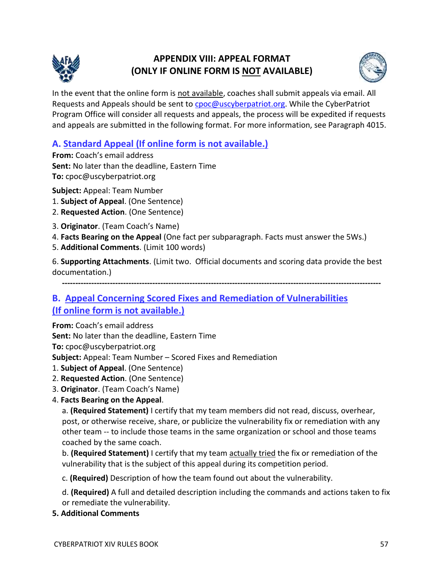

## **APPENDIX VIII: APPEAL FORMAT (ONLY IF ONLINE FORM IS NOT AVAILABLE)**



In the event that the online form is not available, coaches shall submit appeals via email. All Requests and Appeals should be sent to **cpoc@uscyberpatriot.org**. While the CyberPatriot Program Office will consider all requests and appeals, the process will be expedited if requests and appeals are submitted in the following format. For more information, see Paragraph 4015.

## **A. Standard Appeal (If online form is not available.)**

**From:** Coach's email address **Sent:** No later than the deadline, Eastern Time **To:** cpoc@uscyberpatriot.org

**Subject:** Appeal: Team Number

- 1. **Subject of Appeal**. (One Sentence)
- 2. **Requested Action**. (One Sentence)
- 3. **Originator**. (Team Coach's Name)
- 4. **Facts Bearing on the Appeal** (One fact per subparagraph. Facts must answer the 5Ws.)
- 5. **Additional Comments**. (Limit 100 words)

6. **Supporting Attachments**. (Limit two. Official documents and scoring data provide the best documentation.)

**------------------------------------------------------------------------------------------------------------------------**

## **B. Appeal Concerning Scored Fixes and Remediation of Vulnerabilities (If online form is not available.)**

**From:** Coach's email address

**Sent:** No later than the deadline, Eastern Time

**To:** cpoc@uscyberpatriot.org

**Subject:** Appeal: Team Number – Scored Fixes and Remediation

- 1. **Subject of Appeal**. (One Sentence)
- 2. **Requested Action**. (One Sentence)
- 3. **Originator**. (Team Coach's Name)
- 4. **Facts Bearing on the Appeal**.

a. **(Required Statement)** I certify that my team members did not read, discuss, overhear, post, or otherwise receive, share, or publicize the vulnerability fix or remediation with any other team -- to include those teams in the same organization or school and those teams coached by the same coach.

b. **(Required Statement)** I certify that my team actually tried the fix or remediation of the vulnerability that is the subject of this appeal during its competition period.

c. **(Required)** Description of how the team found out about the vulnerability.

d. **(Required)** A full and detailed description including the commands and actions taken to fix or remediate the vulnerability.

**5. Additional Comments**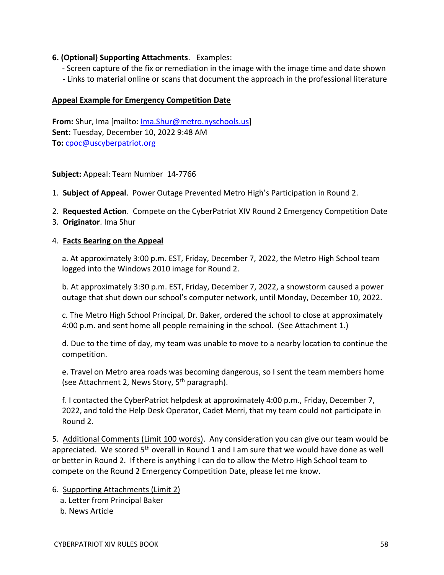### **6. (Optional) Supporting Attachments**. Examples:

 - Screen capture of the fix or remediation in the image with the image time and date shown - Links to material online or scans that document the approach in the professional literature

#### **Appeal Example for Emergency Competition Date**

**From:** Shur, Ima [mailto: [Ima.Shur@metro.nyschools.us\]](mailto:Ima.Shur@metro.nyschools.us) **Sent:** Tuesday, December 10, 2022 9:48 AM **To:** [cpoc@uscyberpatriot.org](mailto:info@uscyberpatriot.org)

**Subject:** Appeal: Team Number 14-7766

- 1. **Subject of Appeal**. Power Outage Prevented Metro High's Participation in Round 2.
- 2. **Requested Action**. Compete on the CyberPatriot XIV Round 2 Emergency Competition Date
- 3. **Originator**. Ima Shur

#### 4. **Facts Bearing on the Appeal**

a. At approximately 3:00 p.m. EST, Friday, December 7, 2022, the Metro High School team logged into the Windows 2010 image for Round 2.

b. At approximately 3:30 p.m. EST, Friday, December 7, 2022, a snowstorm caused a power outage that shut down our school's computer network, until Monday, December 10, 2022.

c. The Metro High School Principal, Dr. Baker, ordered the school to close at approximately 4:00 p.m. and sent home all people remaining in the school. (See Attachment 1.)

d. Due to the time of day, my team was unable to move to a nearby location to continue the competition.

e. Travel on Metro area roads was becoming dangerous, so I sent the team members home (see Attachment 2, News Story, 5<sup>th</sup> paragraph).

f. I contacted the CyberPatriot helpdesk at approximately 4:00 p.m., Friday, December 7, 2022, and told the Help Desk Operator, Cadet Merri, that my team could not participate in Round 2.

5. Additional Comments (Limit 100 words). Any consideration you can give our team would be appreciated. We scored  $5<sup>th</sup>$  overall in Round 1 and I am sure that we would have done as well or better in Round 2. If there is anything I can do to allow the Metro High School team to compete on the Round 2 Emergency Competition Date, please let me know.

- 6. Supporting Attachments (Limit 2)
	- a. Letter from Principal Baker
	- b. News Article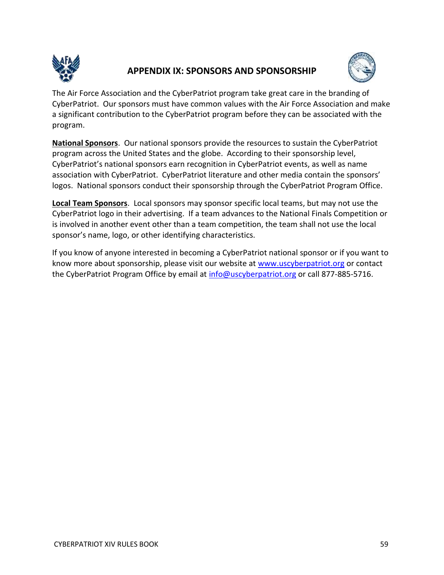

## **APPENDIX IX: SPONSORS AND SPONSORSHIP**



The Air Force Association and the CyberPatriot program take great care in the branding of CyberPatriot. Our sponsors must have common values with the Air Force Association and make a significant contribution to the CyberPatriot program before they can be associated with the program.

**National Sponsors**. Our national sponsors provide the resources to sustain the CyberPatriot program across the United States and the globe. According to their sponsorship level, CyberPatriot's national sponsors earn recognition in CyberPatriot events, as well as name association with CyberPatriot. CyberPatriot literature and other media contain the sponsors' logos. National sponsors conduct their sponsorship through the CyberPatriot Program Office.

**Local Team Sponsors**. Local sponsors may sponsor specific local teams, but may not use the CyberPatriot logo in their advertising. If a team advances to the National Finals Competition or is involved in another event other than a team competition, the team shall not use the local sponsor's name, logo, or other identifying characteristics.

If you know of anyone interested in becoming a CyberPatriot national sponsor or if you want to know more about sponsorship, please visit our website at [www.uscyberpatriot.org](http://www.uscyberpatriot.org/) or contact the CyberPatriot Program Office by email at [info@uscyberpatriot.org](mailto:info@uscyberpatriot.org) or call 877-885-5716.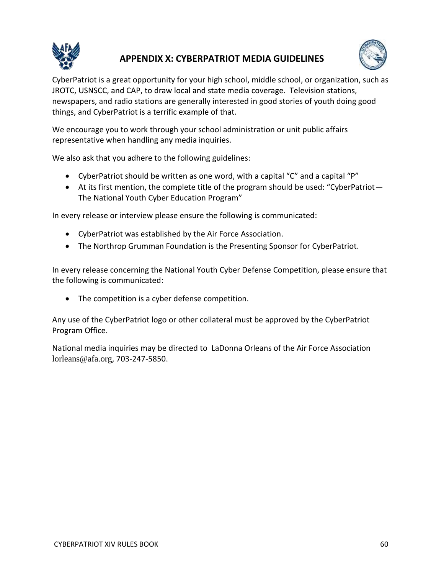

## **APPENDIX X: CYBERPATRIOT MEDIA GUIDELINES**



CyberPatriot is a great opportunity for your high school, middle school, or organization, such as JROTC, USNSCC, and CAP, to draw local and state media coverage. Television stations, newspapers, and radio stations are generally interested in good stories of youth doing good things, and CyberPatriot is a terrific example of that.

We encourage you to work through your school administration or unit public affairs representative when handling any media inquiries.

We also ask that you adhere to the following guidelines:

- CyberPatriot should be written as one word, with a capital "C" and a capital "P"
- At its first mention, the complete title of the program should be used: "CyberPatriot-The National Youth Cyber Education Program"

In every release or interview please ensure the following is communicated:

- CyberPatriot was established by the Air Force Association.
- The Northrop Grumman Foundation is the Presenting Sponsor for CyberPatriot.

In every release concerning the National Youth Cyber Defense Competition, please ensure that the following is communicated:

• The competition is a cyber defense competition.

Any use of the CyberPatriot logo or other collateral must be approved by the CyberPatriot Program Office.

National media inquiries may be directed to LaDonna Orleans of the Air Force Association lorleans@afa.org, 703-247-5850.